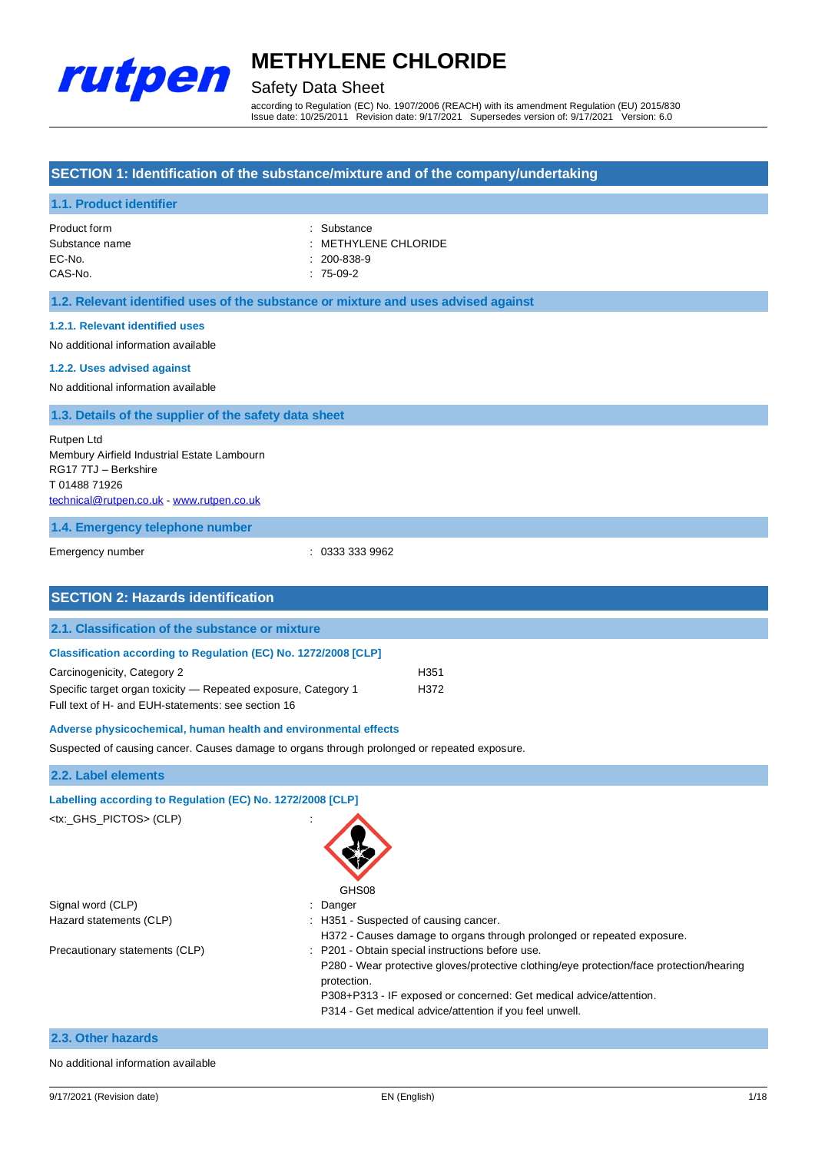

### Safety Data Sheet

according to Regulation (EC) No. 1907/2006 (REACH) with its amendment Regulation (EU) 2015/830 Issue date: 10/25/2011 Revision date: 9/17/2021 Supersedes version of: 9/17/2021 Version: 6.0

#### **SECTION 1: Identification of the substance/mixture and of the company/undertaking**

#### **1.1. Product identifier**

| Product form   | : Substance                     |
|----------------|---------------------------------|
| Substance name | $\therefore$ METHYLENE CHLORIDE |
| EC-No.         | $: 200 - 838 - 9$               |
| CAS-No.        | $: 75-09-2$                     |

#### **1.2. Relevant identified uses of the substance or mixture and uses advised against**

#### **1.2.1. Relevant identified uses**

No additional information available

#### **1.2.2. Uses advised against**

No additional information available

#### **1.3. Details of the supplier of the safety data sheet**

Rutpen Ltd Membury Airfield Industrial Estate Lambourn RG17 7TJ – Berkshire T 01488 71926 [technical@rutpen.co.uk](mailto:technical@rutpen.co.uk) - [www.rutpen.co.uk](http://www.rutpen.co.uk/)

#### **1.4. Emergency telephone number**

Emergency number : 0333 333 9962

| <b>SECTION 2: Hazards identification</b>                               |      |
|------------------------------------------------------------------------|------|
|                                                                        |      |
| 2.1. Classification of the substance or mixture                        |      |
| <b>Classification according to Regulation (EC) No. 1272/2008 [CLP]</b> |      |
|                                                                        |      |
| Carcinogenicity, Category 2                                            | H351 |
| Specific target organ toxicity – Repeated exposure, Category 1         | H372 |
| Full text of H- and EUH-statements: see section 16                     |      |
| Adverse physicochemical, human health and environmental effects        |      |

Suspected of causing cancer. Causes damage to organs through prolonged or repeated exposure.

#### **2.2. Label elements**

| Labelling according to Regulation (EC) No. 1272/2008 [CLP] |                                                                                                         |
|------------------------------------------------------------|---------------------------------------------------------------------------------------------------------|
| <tx:_ghs_pictos> (CLP)</tx:_ghs_pictos>                    | GHS08                                                                                                   |
| Signal word (CLP)                                          | : Danger                                                                                                |
| Hazard statements (CLP)                                    | : H351 - Suspected of causing cancer.                                                                   |
|                                                            | H372 - Causes damage to organs through prolonged or repeated exposure.                                  |
| Precautionary statements (CLP)                             | : P201 - Obtain special instructions before use.                                                        |
|                                                            | P280 - Wear protective gloves/protective clothing/eye protection/face protection/hearing<br>protection. |
|                                                            | P308+P313 - IF exposed or concerned: Get medical advice/attention.                                      |
|                                                            | P314 - Get medical advice/attention if you feel unwell.                                                 |
| 2.3. Other hazards                                         |                                                                                                         |

#### No additional information available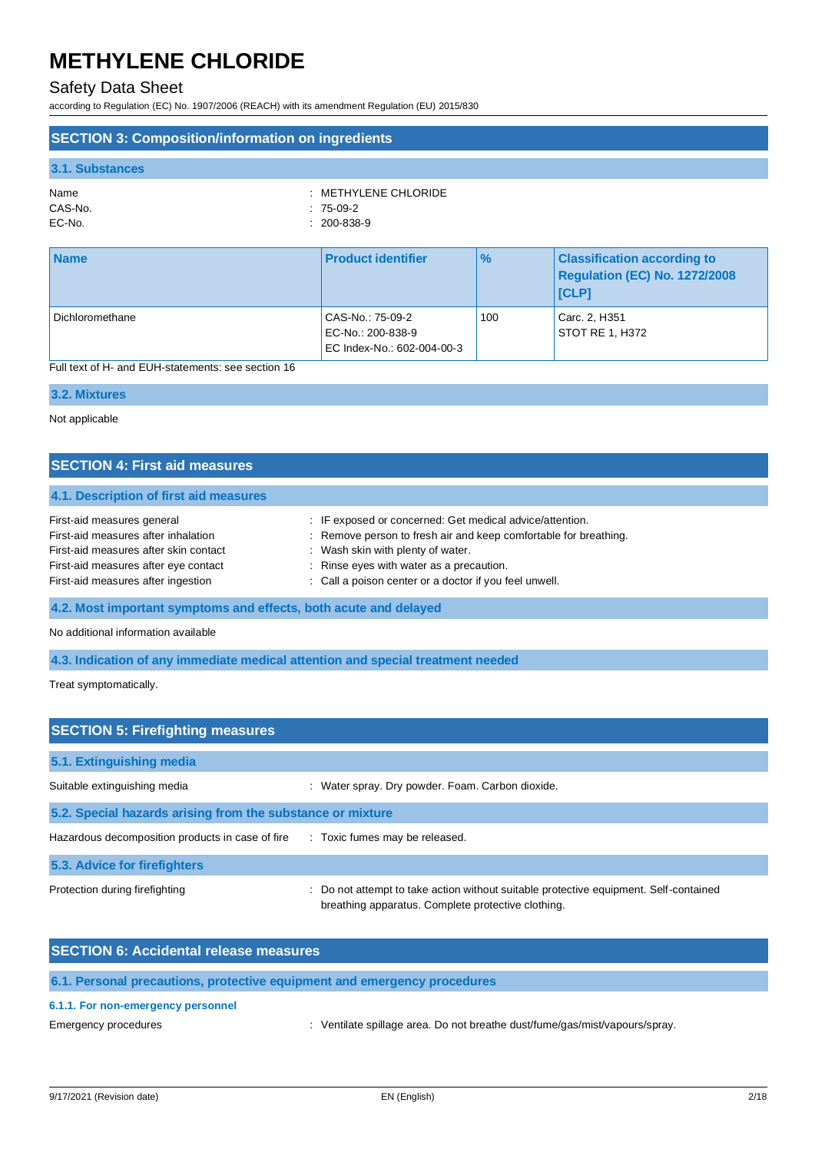### Safety Data Sheet

according to Regulation (EC) No. 1907/2006 (REACH) with its amendment Regulation (EU) 2015/830

### **SECTION 3: Composition/information on ingredients**

#### **3.1. Substances**

| $\therefore$ METHYLENE CHLORIDE |
|---------------------------------|
|                                 |
|                                 |
|                                 |

| <b>Name</b>     | <b>Product identifier</b>                                           | $\%$ | <b>Classification according to</b><br><b>Regulation (EC) No. 1272/2008</b><br><b>I</b> CLPI |
|-----------------|---------------------------------------------------------------------|------|---------------------------------------------------------------------------------------------|
| Dichloromethane | CAS-No.: 75-09-2<br>EC-No.: 200-838-9<br>EC Index-No.: 602-004-00-3 | 100  | Carc. 2, H351<br><b>STOT RE 1, H372</b>                                                     |

Full text of H- and EUH-statements: see section 16

#### **3.2. Mixtures**

Not applicable

| <b>SECTION 4: First aid measures</b>                             |                                                                  |  |
|------------------------------------------------------------------|------------------------------------------------------------------|--|
| 4.1. Description of first aid measures                           |                                                                  |  |
| First-aid measures general                                       | : IF exposed or concerned: Get medical advice/attention.         |  |
| First-aid measures after inhalation                              | : Remove person to fresh air and keep comfortable for breathing. |  |
| First-aid measures after skin contact                            | : Wash skin with plenty of water.                                |  |
| First-aid measures after eye contact                             | : Rinse eyes with water as a precaution.                         |  |
| First-aid measures after ingestion                               | : Call a poison center or a doctor if you feel unwell.           |  |
| 4.2. Most important symptoms and effects, both acute and delayed |                                                                  |  |

No additional information available

**4.3. Indication of any immediate medical attention and special treatment needed**

Treat symptomatically.

| <b>SECTION 5: Firefighting measures</b>                    |                                                                                                                                           |  |  |
|------------------------------------------------------------|-------------------------------------------------------------------------------------------------------------------------------------------|--|--|
| 5.1. Extinguishing media                                   |                                                                                                                                           |  |  |
| Suitable extinguishing media                               | : Water spray. Dry powder. Foam. Carbon dioxide.                                                                                          |  |  |
| 5.2. Special hazards arising from the substance or mixture |                                                                                                                                           |  |  |
| Hazardous decomposition products in case of fire           | : Toxic fumes may be released.                                                                                                            |  |  |
| 5.3. Advice for firefighters                               |                                                                                                                                           |  |  |
| Protection during firefighting                             | Do not attempt to take action without suitable protective equipment. Self-contained<br>breathing apparatus. Complete protective clothing. |  |  |

| <b>SECTION 6: Accidental release measures</b>                            |
|--------------------------------------------------------------------------|
| 6.1. Personal precautions, protective equipment and emergency procedures |
| CAA Fax new emergency percennel                                          |

### **6.1.1. For non-emergency personnel**

Emergency procedures **in the spillage area.** Do not breathe dust/fume/gas/mist/vapours/spray.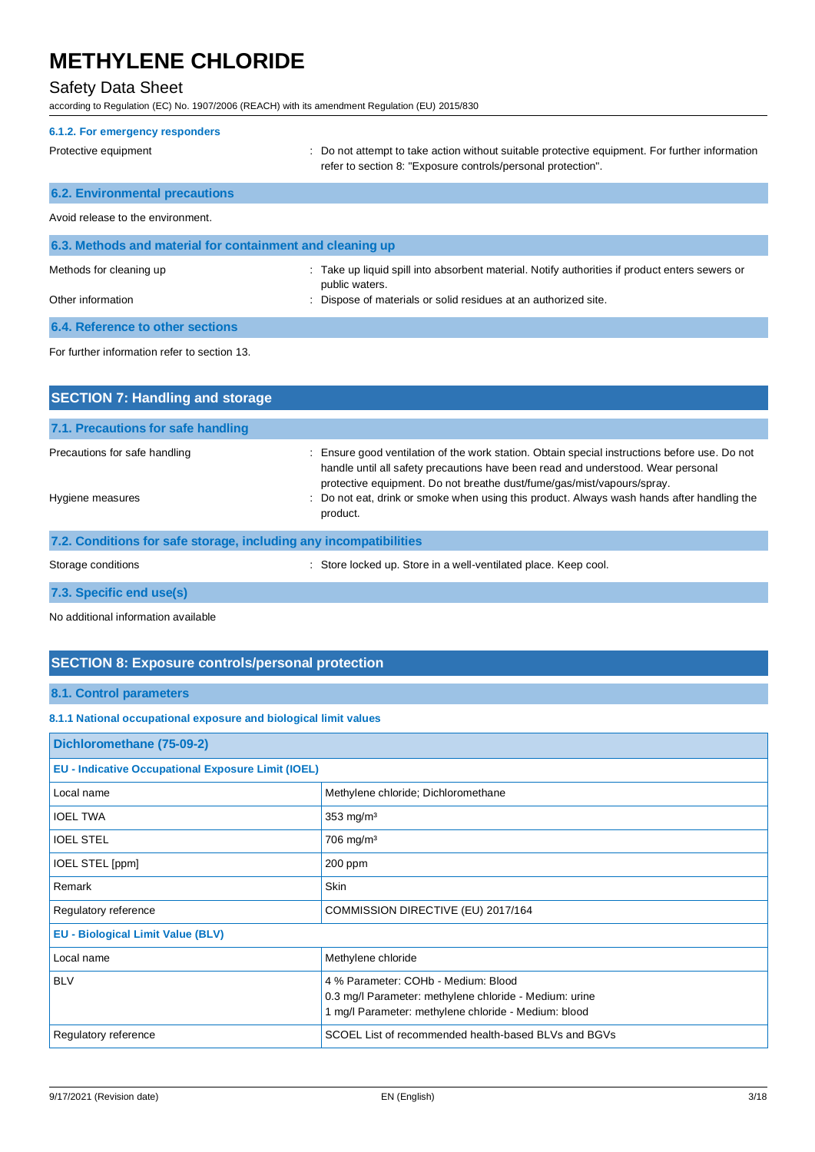### Safety Data Sheet

according to Regulation (EC) No. 1907/2006 (REACH) with its amendment Regulation (EU) 2015/830

| 6.1.2. For emergency responders                           |                                                                                                                                                                                   |  |
|-----------------------------------------------------------|-----------------------------------------------------------------------------------------------------------------------------------------------------------------------------------|--|
| Protective equipment                                      | : Do not attempt to take action without suitable protective equipment. For further information<br>refer to section 8: "Exposure controls/personal protection".                    |  |
| <b>6.2. Environmental precautions</b>                     |                                                                                                                                                                                   |  |
| Avoid release to the environment.                         |                                                                                                                                                                                   |  |
| 6.3. Methods and material for containment and cleaning up |                                                                                                                                                                                   |  |
| Methods for cleaning up<br>Other information              | : Take up liquid spill into absorbent material. Notify authorities if product enters sewers or<br>public waters.<br>Dispose of materials or solid residues at an authorized site. |  |
| 6.4. Reference to other sections                          |                                                                                                                                                                                   |  |
| For further information refer to section 13.              |                                                                                                                                                                                   |  |

| <b>SECTION 7: Handling and storage</b>                            |                                                                                                                                                                                                                                                                                                                                                              |
|-------------------------------------------------------------------|--------------------------------------------------------------------------------------------------------------------------------------------------------------------------------------------------------------------------------------------------------------------------------------------------------------------------------------------------------------|
| 7.1. Precautions for safe handling                                |                                                                                                                                                                                                                                                                                                                                                              |
| Precautions for safe handling<br>Hygiene measures                 | Ensure good ventilation of the work station. Obtain special instructions before use. Do not<br>÷<br>handle until all safety precautions have been read and understood. Wear personal<br>protective equipment. Do not breathe dust/fume/gas/mist/vapours/spray.<br>: Do not eat, drink or smoke when using this product. Always wash hands after handling the |
|                                                                   | product.                                                                                                                                                                                                                                                                                                                                                     |
| 7.2. Conditions for safe storage, including any incompatibilities |                                                                                                                                                                                                                                                                                                                                                              |
| Storage conditions                                                | Store locked up. Store in a well-ventilated place. Keep cool.                                                                                                                                                                                                                                                                                                |
| 7.3. Specific end use(s)                                          |                                                                                                                                                                                                                                                                                                                                                              |

No additional information available

### **SECTION 8: Exposure controls/personal protection**

### **8.1. Control parameters**

### **8.1.1 National occupational exposure and biological limit values**

| Dichloromethane (75-09-2)                                 |                                                                                                                                                       |  |
|-----------------------------------------------------------|-------------------------------------------------------------------------------------------------------------------------------------------------------|--|
| <b>EU - Indicative Occupational Exposure Limit (IOEL)</b> |                                                                                                                                                       |  |
| Local name                                                | Methylene chloride; Dichloromethane                                                                                                                   |  |
| <b>IOEL TWA</b>                                           | $353$ mg/m <sup>3</sup>                                                                                                                               |  |
| <b>IOEL STEL</b>                                          | 706 mg/m <sup>3</sup>                                                                                                                                 |  |
| IOEL STEL [ppm]                                           | $200$ ppm                                                                                                                                             |  |
| Remark                                                    | Skin                                                                                                                                                  |  |
| Regulatory reference                                      | COMMISSION DIRECTIVE (EU) 2017/164                                                                                                                    |  |
| <b>EU - Biological Limit Value (BLV)</b>                  |                                                                                                                                                       |  |
| Local name                                                | Methylene chloride                                                                                                                                    |  |
| <b>BLV</b>                                                | 4 % Parameter: COHb - Medium: Blood<br>0.3 mg/l Parameter: methylene chloride - Medium: urine<br>1 mg/l Parameter: methylene chloride - Medium: blood |  |
| Regulatory reference                                      | SCOEL List of recommended health-based BLVs and BGVs                                                                                                  |  |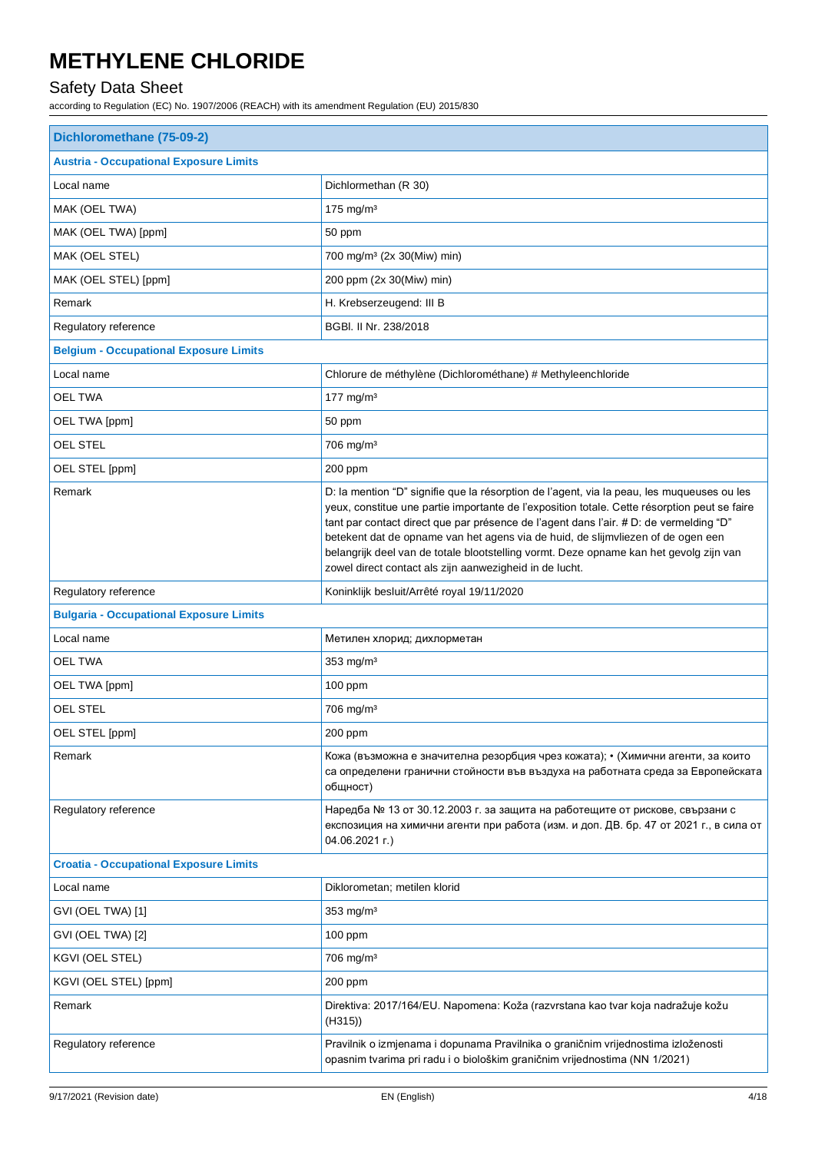### Safety Data Sheet

| Dichloromethane (75-09-2)                      |                                                                                                                                                                                                                                                                                                                                                                                                                                                                                                                               |  |
|------------------------------------------------|-------------------------------------------------------------------------------------------------------------------------------------------------------------------------------------------------------------------------------------------------------------------------------------------------------------------------------------------------------------------------------------------------------------------------------------------------------------------------------------------------------------------------------|--|
| <b>Austria - Occupational Exposure Limits</b>  |                                                                                                                                                                                                                                                                                                                                                                                                                                                                                                                               |  |
| Local name                                     | Dichlormethan (R 30)                                                                                                                                                                                                                                                                                                                                                                                                                                                                                                          |  |
| MAK (OEL TWA)                                  | 175 mg/m $3$                                                                                                                                                                                                                                                                                                                                                                                                                                                                                                                  |  |
| MAK (OEL TWA) [ppm]                            | 50 ppm                                                                                                                                                                                                                                                                                                                                                                                                                                                                                                                        |  |
| MAK (OEL STEL)                                 | 700 mg/m <sup>3</sup> (2x 30(Miw) min)                                                                                                                                                                                                                                                                                                                                                                                                                                                                                        |  |
| MAK (OEL STEL) [ppm]                           | 200 ppm (2x 30(Miw) min)                                                                                                                                                                                                                                                                                                                                                                                                                                                                                                      |  |
| Remark                                         | H. Krebserzeugend: III B                                                                                                                                                                                                                                                                                                                                                                                                                                                                                                      |  |
| Regulatory reference                           | BGBI. II Nr. 238/2018                                                                                                                                                                                                                                                                                                                                                                                                                                                                                                         |  |
| <b>Belgium - Occupational Exposure Limits</b>  |                                                                                                                                                                                                                                                                                                                                                                                                                                                                                                                               |  |
| Local name                                     | Chlorure de méthylène (Dichlorométhane) # Methyleenchloride                                                                                                                                                                                                                                                                                                                                                                                                                                                                   |  |
| <b>OEL TWA</b>                                 | 177 mg/m $3$                                                                                                                                                                                                                                                                                                                                                                                                                                                                                                                  |  |
| OEL TWA [ppm]                                  | 50 ppm                                                                                                                                                                                                                                                                                                                                                                                                                                                                                                                        |  |
| <b>OEL STEL</b>                                | 706 mg/m <sup>3</sup>                                                                                                                                                                                                                                                                                                                                                                                                                                                                                                         |  |
| OEL STEL [ppm]                                 | 200 ppm                                                                                                                                                                                                                                                                                                                                                                                                                                                                                                                       |  |
| Remark                                         | D: la mention "D" signifie que la résorption de l'agent, via la peau, les muqueuses ou les<br>yeux, constitue une partie importante de l'exposition totale. Cette résorption peut se faire<br>tant par contact direct que par présence de l'agent dans l'air. # D: de vermelding "D"<br>betekent dat de opname van het agens via de huid, de slijmvliezen of de ogen een<br>belangrijk deel van de totale blootstelling vormt. Deze opname kan het gevolg zijn van<br>zowel direct contact als zijn aanwezigheid in de lucht. |  |
| Regulatory reference                           | Koninklijk besluit/Arrêté royal 19/11/2020                                                                                                                                                                                                                                                                                                                                                                                                                                                                                    |  |
| <b>Bulgaria - Occupational Exposure Limits</b> |                                                                                                                                                                                                                                                                                                                                                                                                                                                                                                                               |  |
| Local name                                     | Метилен хлорид; дихлорметан                                                                                                                                                                                                                                                                                                                                                                                                                                                                                                   |  |
| <b>OEL TWA</b>                                 | $353$ mg/m <sup>3</sup>                                                                                                                                                                                                                                                                                                                                                                                                                                                                                                       |  |
| OEL TWA [ppm]                                  | 100 ppm                                                                                                                                                                                                                                                                                                                                                                                                                                                                                                                       |  |
| OEL STEL                                       | 706 mg/m <sup>3</sup>                                                                                                                                                                                                                                                                                                                                                                                                                                                                                                         |  |
| OEL STEL [ppm]                                 | 200 ppm                                                                                                                                                                                                                                                                                                                                                                                                                                                                                                                       |  |
| Remark                                         | Кожа (възможна е значителна резорбция чрез кожата); • (Химични агенти, за които<br>са определени гранични стойности във въздуха на работната среда за Европейската<br>общност)                                                                                                                                                                                                                                                                                                                                                |  |
| Regulatory reference                           | Наредба № 13 от 30.12.2003 г. за защита на работещите от рискове, свързани с<br>експозиция на химични агенти при работа (изм. и доп. ДВ. бр. 47 от 2021 г., в сила от<br>04.06.2021 г.)                                                                                                                                                                                                                                                                                                                                       |  |
| <b>Croatia - Occupational Exposure Limits</b>  |                                                                                                                                                                                                                                                                                                                                                                                                                                                                                                                               |  |
| Local name                                     | Diklorometan; metilen klorid                                                                                                                                                                                                                                                                                                                                                                                                                                                                                                  |  |
| GVI (OEL TWA) [1]                              | $353$ mg/m <sup>3</sup>                                                                                                                                                                                                                                                                                                                                                                                                                                                                                                       |  |
| GVI (OEL TWA) [2]                              | $100$ ppm                                                                                                                                                                                                                                                                                                                                                                                                                                                                                                                     |  |
| KGVI (OEL STEL)                                | 706 mg/m <sup>3</sup>                                                                                                                                                                                                                                                                                                                                                                                                                                                                                                         |  |
| KGVI (OEL STEL) [ppm]                          | 200 ppm                                                                                                                                                                                                                                                                                                                                                                                                                                                                                                                       |  |
| Remark                                         | Direktiva: 2017/164/EU. Napomena: Koža (razvrstana kao tvar koja nadražuje kožu<br>(H315))                                                                                                                                                                                                                                                                                                                                                                                                                                    |  |
| Regulatory reference                           | Pravilnik o izmjenama i dopunama Pravilnika o graničnim vrijednostima izloženosti<br>opasnim tvarima pri radu i o biološkim graničnim vrijednostima (NN 1/2021)                                                                                                                                                                                                                                                                                                                                                               |  |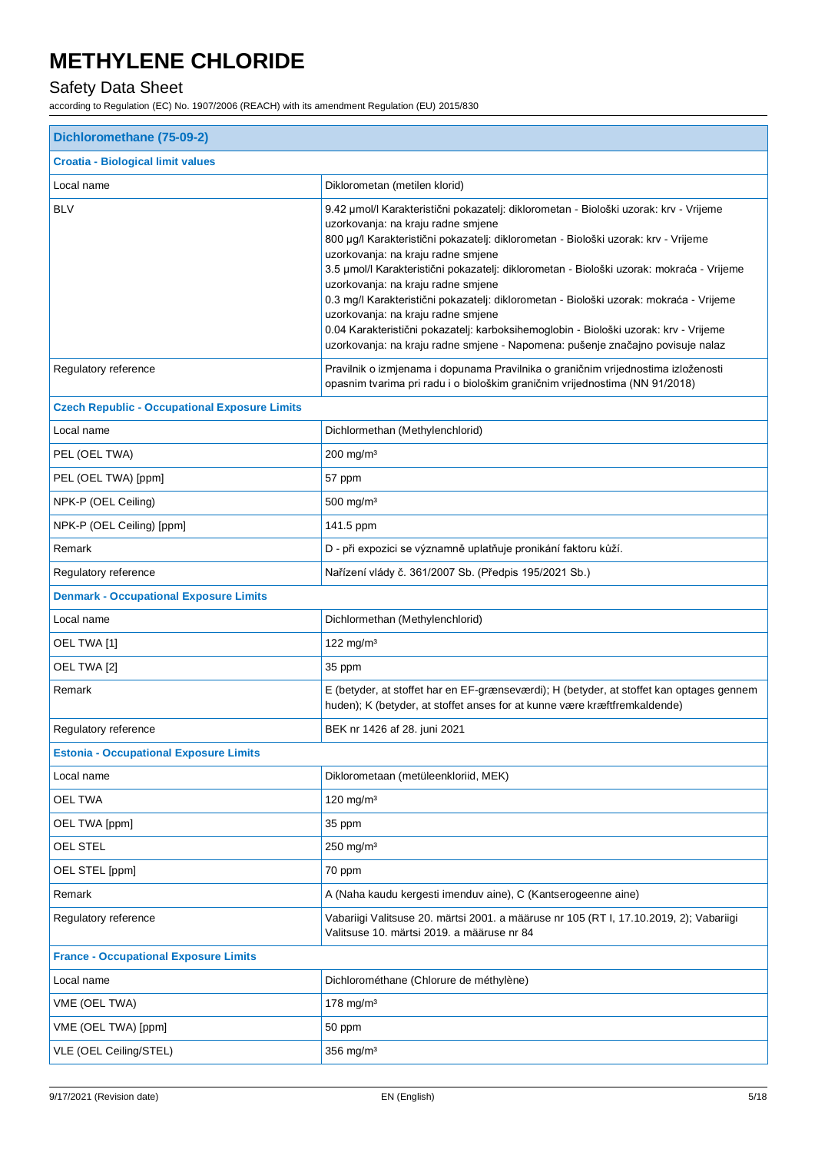### Safety Data Sheet

| Dichloromethane (75-09-2)                            |                                                                                                                                                                                                                                                                                                                                                                                                                                                                                                                                                                                                                                                                                                     |  |
|------------------------------------------------------|-----------------------------------------------------------------------------------------------------------------------------------------------------------------------------------------------------------------------------------------------------------------------------------------------------------------------------------------------------------------------------------------------------------------------------------------------------------------------------------------------------------------------------------------------------------------------------------------------------------------------------------------------------------------------------------------------------|--|
| <b>Croatia - Biological limit values</b>             |                                                                                                                                                                                                                                                                                                                                                                                                                                                                                                                                                                                                                                                                                                     |  |
| Local name                                           | Diklorometan (metilen klorid)                                                                                                                                                                                                                                                                                                                                                                                                                                                                                                                                                                                                                                                                       |  |
| <b>BLV</b>                                           | 9.42 µmol/l Karakteristični pokazatelj: diklorometan - Biološki uzorak: krv - Vrijeme<br>uzorkovanja: na kraju radne smjene<br>800 µg/l Karakteristični pokazatelj: diklorometan - Biološki uzorak: krv - Vrijeme<br>uzorkovanja: na kraju radne smjene<br>3.5 µmol/l Karakteristični pokazatelj: diklorometan - Biološki uzorak: mokraća - Vrijeme<br>uzorkovanja: na kraju radne smjene<br>0.3 mg/l Karakteristični pokazatelj: diklorometan - Biološki uzorak: mokraća - Vrijeme<br>uzorkovanja: na kraju radne smjene<br>0.04 Karakteristični pokazatelj: karboksihemoglobin - Biološki uzorak: krv - Vrijeme<br>uzorkovanja: na kraju radne smjene - Napomena: pušenje značajno povisuje nalaz |  |
| Regulatory reference                                 | Pravilnik o izmjenama i dopunama Pravilnika o graničnim vrijednostima izloženosti<br>opasnim tvarima pri radu i o biološkim graničnim vrijednostima (NN 91/2018)                                                                                                                                                                                                                                                                                                                                                                                                                                                                                                                                    |  |
| <b>Czech Republic - Occupational Exposure Limits</b> |                                                                                                                                                                                                                                                                                                                                                                                                                                                                                                                                                                                                                                                                                                     |  |
| Local name                                           | Dichlormethan (Methylenchlorid)                                                                                                                                                                                                                                                                                                                                                                                                                                                                                                                                                                                                                                                                     |  |
| PEL (OEL TWA)                                        | 200 mg/m <sup>3</sup>                                                                                                                                                                                                                                                                                                                                                                                                                                                                                                                                                                                                                                                                               |  |
| PEL (OEL TWA) [ppm]                                  | 57 ppm                                                                                                                                                                                                                                                                                                                                                                                                                                                                                                                                                                                                                                                                                              |  |
| NPK-P (OEL Ceiling)                                  | $500$ mg/m <sup>3</sup>                                                                                                                                                                                                                                                                                                                                                                                                                                                                                                                                                                                                                                                                             |  |
| NPK-P (OEL Ceiling) [ppm]                            | 141.5 ppm                                                                                                                                                                                                                                                                                                                                                                                                                                                                                                                                                                                                                                                                                           |  |
| Remark                                               | D - při expozici se významně uplatňuje pronikání faktoru kůží.                                                                                                                                                                                                                                                                                                                                                                                                                                                                                                                                                                                                                                      |  |
| Regulatory reference                                 | Nařízení vlády č. 361/2007 Sb. (Předpis 195/2021 Sb.)                                                                                                                                                                                                                                                                                                                                                                                                                                                                                                                                                                                                                                               |  |
| <b>Denmark - Occupational Exposure Limits</b>        |                                                                                                                                                                                                                                                                                                                                                                                                                                                                                                                                                                                                                                                                                                     |  |
| Local name                                           | Dichlormethan (Methylenchlorid)                                                                                                                                                                                                                                                                                                                                                                                                                                                                                                                                                                                                                                                                     |  |
| OEL TWA [1]                                          | 122 mg/m $3$                                                                                                                                                                                                                                                                                                                                                                                                                                                                                                                                                                                                                                                                                        |  |
| OEL TWA [2]                                          | 35 ppm                                                                                                                                                                                                                                                                                                                                                                                                                                                                                                                                                                                                                                                                                              |  |
| Remark                                               | E (betyder, at stoffet har en EF-grænseværdi); H (betyder, at stoffet kan optages gennem<br>huden); K (betyder, at stoffet anses for at kunne være kræftfremkaldende)                                                                                                                                                                                                                                                                                                                                                                                                                                                                                                                               |  |
| Regulatory reference                                 | BEK nr 1426 af 28. juni 2021                                                                                                                                                                                                                                                                                                                                                                                                                                                                                                                                                                                                                                                                        |  |
| <b>Estonia - Occupational Exposure Limits</b>        |                                                                                                                                                                                                                                                                                                                                                                                                                                                                                                                                                                                                                                                                                                     |  |
| Local name                                           | Diklorometaan (metüleenkloriid, MEK)                                                                                                                                                                                                                                                                                                                                                                                                                                                                                                                                                                                                                                                                |  |
| <b>OEL TWA</b>                                       | 120 mg/m $3$                                                                                                                                                                                                                                                                                                                                                                                                                                                                                                                                                                                                                                                                                        |  |
| OEL TWA [ppm]                                        | 35 ppm                                                                                                                                                                                                                                                                                                                                                                                                                                                                                                                                                                                                                                                                                              |  |
| <b>OEL STEL</b>                                      | $250$ mg/m <sup>3</sup>                                                                                                                                                                                                                                                                                                                                                                                                                                                                                                                                                                                                                                                                             |  |
| OEL STEL [ppm]                                       | 70 ppm                                                                                                                                                                                                                                                                                                                                                                                                                                                                                                                                                                                                                                                                                              |  |
| Remark                                               | A (Naha kaudu kergesti imenduv aine), C (Kantserogeenne aine)                                                                                                                                                                                                                                                                                                                                                                                                                                                                                                                                                                                                                                       |  |
| Regulatory reference                                 | Vabariigi Valitsuse 20. märtsi 2001. a määruse nr 105 (RT I, 17.10.2019, 2); Vabariigi<br>Valitsuse 10. märtsi 2019. a määruse nr 84                                                                                                                                                                                                                                                                                                                                                                                                                                                                                                                                                                |  |
| <b>France - Occupational Exposure Limits</b>         |                                                                                                                                                                                                                                                                                                                                                                                                                                                                                                                                                                                                                                                                                                     |  |
| Local name                                           | Dichlorométhane (Chlorure de méthylène)                                                                                                                                                                                                                                                                                                                                                                                                                                                                                                                                                                                                                                                             |  |
| VME (OEL TWA)                                        | 178 mg/m $3$                                                                                                                                                                                                                                                                                                                                                                                                                                                                                                                                                                                                                                                                                        |  |
| VME (OEL TWA) [ppm]                                  | 50 ppm                                                                                                                                                                                                                                                                                                                                                                                                                                                                                                                                                                                                                                                                                              |  |
| VLE (OEL Ceiling/STEL)                               | 356 mg/m <sup>3</sup>                                                                                                                                                                                                                                                                                                                                                                                                                                                                                                                                                                                                                                                                               |  |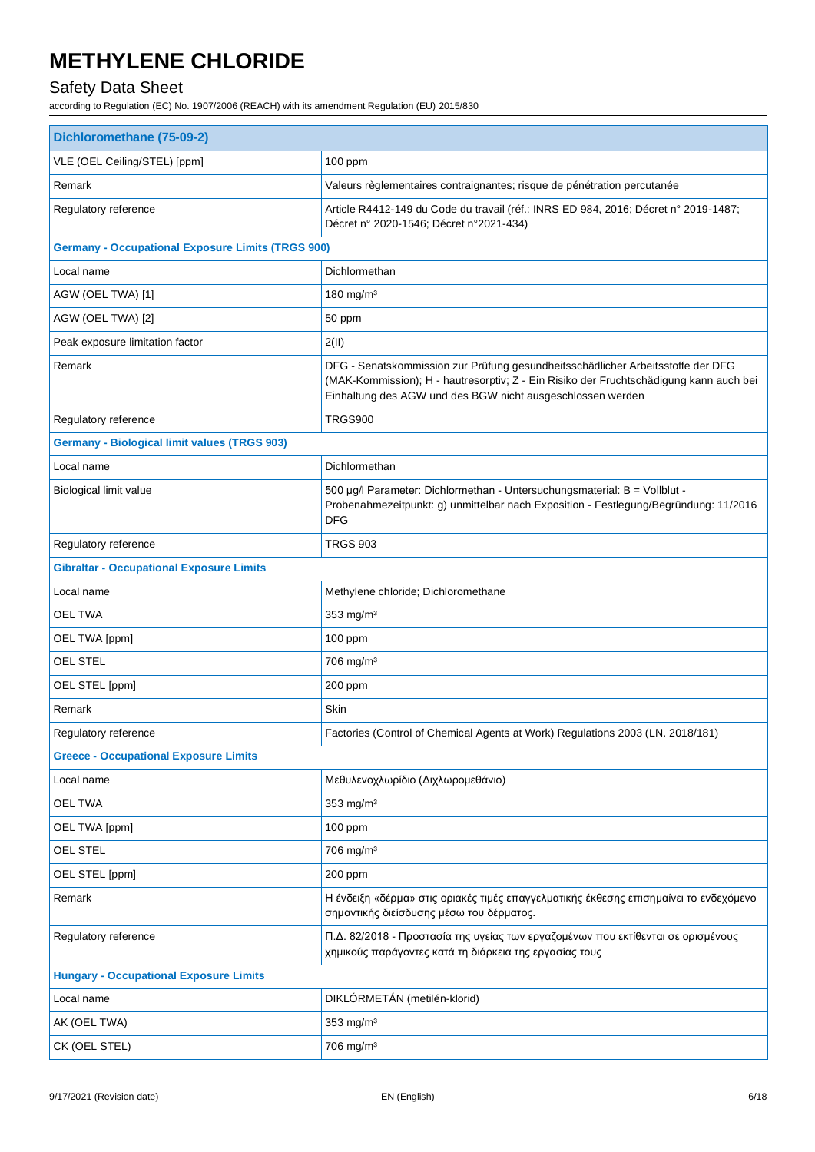### Safety Data Sheet

| VLE (OEL Ceiling/STEL) [ppm]<br>100 ppm<br>Remark<br>Valeurs règlementaires contraignantes; risque de pénétration percutanée<br>Regulatory reference<br>Article R4412-149 du Code du travail (réf.: INRS ED 984, 2016; Décret n° 2019-1487;<br>Décret n° 2020-1546; Décret n°2021-434)<br><b>Germany - Occupational Exposure Limits (TRGS 900)</b><br>Dichlormethan<br>Local name<br>180 mg/m <sup>3</sup><br>AGW (OEL TWA) [1]<br>AGW (OEL TWA) [2]<br>50 ppm<br>Peak exposure limitation factor<br>2(II)<br>Remark<br>DFG - Senatskommission zur Prüfung gesundheitsschädlicher Arbeitsstoffe der DFG<br>(MAK-Kommission); H - hautresorptiv; Z - Ein Risiko der Fruchtschädigung kann auch bei<br>Einhaltung des AGW und des BGW nicht ausgeschlossen werden<br>Regulatory reference<br>TRGS900<br><b>Germany - Biological limit values (TRGS 903)</b><br>Dichlormethan<br>Local name<br>500 µg/l Parameter: Dichlormethan - Untersuchungsmaterial: B = Vollblut -<br>Biological limit value<br>Probenahmezeitpunkt: g) unmittelbar nach Exposition - Festlegung/Begründung: 11/2016<br>DFG<br>Regulatory reference<br><b>TRGS 903</b><br><b>Gibraltar - Occupational Exposure Limits</b><br>Local name<br>Methylene chloride; Dichloromethane<br><b>OEL TWA</b><br>353 mg/m <sup>3</sup><br>OEL TWA [ppm]<br>$100$ ppm<br><b>OEL STEL</b><br>706 mg/m <sup>3</sup><br>OEL STEL [ppm]<br>200 ppm<br>Remark<br>Skin<br>Regulatory reference<br>Factories (Control of Chemical Agents at Work) Regulations 2003 (LN. 2018/181)<br><b>Greece - Occupational Exposure Limits</b><br>Local name<br>Μεθυλενοχλωρίδιο (Διχλωρομεθάνιο)<br><b>OEL TWA</b><br>353 mg/m <sup>3</sup><br>OEL TWA [ppm]<br>100 ppm<br>OEL STEL<br>706 mg/m <sup>3</sup><br>OEL STEL [ppm]<br>200 ppm<br>Remark<br>Η ένδειξη «δέρμα» στις οριακές τιμές επαγγελματικής έκθεσης επισημαίνει το ενδεχόμενο<br>σημαντικής διείσδυσης μέσω του δέρματος.<br>Π.Δ. 82/2018 - Προστασία της υγείας των εργαζομένων που εκτίθενται σε ορισμένους<br>Regulatory reference<br>χημικούς παράγοντες κατά τη διάρκεια της εργασίας τους<br><b>Hungary - Occupational Exposure Limits</b><br>DIKLÓRMETÁN (metilén-klorid)<br>Local name<br>353 mg/m <sup>3</sup><br>AK (OEL TWA)<br>706 mg/m <sup>3</sup><br>CK (OEL STEL) | Dichloromethane (75-09-2) |  |  |
|------------------------------------------------------------------------------------------------------------------------------------------------------------------------------------------------------------------------------------------------------------------------------------------------------------------------------------------------------------------------------------------------------------------------------------------------------------------------------------------------------------------------------------------------------------------------------------------------------------------------------------------------------------------------------------------------------------------------------------------------------------------------------------------------------------------------------------------------------------------------------------------------------------------------------------------------------------------------------------------------------------------------------------------------------------------------------------------------------------------------------------------------------------------------------------------------------------------------------------------------------------------------------------------------------------------------------------------------------------------------------------------------------------------------------------------------------------------------------------------------------------------------------------------------------------------------------------------------------------------------------------------------------------------------------------------------------------------------------------------------------------------------------------------------------------------------------------------------------------------------------------------------------------------------------------------------------------------------------------------------------------------------------------------------------------------------------------------------------------------------------------------------------------------------------------------------------------------------------------------------------------------------------------|---------------------------|--|--|
|                                                                                                                                                                                                                                                                                                                                                                                                                                                                                                                                                                                                                                                                                                                                                                                                                                                                                                                                                                                                                                                                                                                                                                                                                                                                                                                                                                                                                                                                                                                                                                                                                                                                                                                                                                                                                                                                                                                                                                                                                                                                                                                                                                                                                                                                                    |                           |  |  |
|                                                                                                                                                                                                                                                                                                                                                                                                                                                                                                                                                                                                                                                                                                                                                                                                                                                                                                                                                                                                                                                                                                                                                                                                                                                                                                                                                                                                                                                                                                                                                                                                                                                                                                                                                                                                                                                                                                                                                                                                                                                                                                                                                                                                                                                                                    |                           |  |  |
|                                                                                                                                                                                                                                                                                                                                                                                                                                                                                                                                                                                                                                                                                                                                                                                                                                                                                                                                                                                                                                                                                                                                                                                                                                                                                                                                                                                                                                                                                                                                                                                                                                                                                                                                                                                                                                                                                                                                                                                                                                                                                                                                                                                                                                                                                    |                           |  |  |
|                                                                                                                                                                                                                                                                                                                                                                                                                                                                                                                                                                                                                                                                                                                                                                                                                                                                                                                                                                                                                                                                                                                                                                                                                                                                                                                                                                                                                                                                                                                                                                                                                                                                                                                                                                                                                                                                                                                                                                                                                                                                                                                                                                                                                                                                                    |                           |  |  |
|                                                                                                                                                                                                                                                                                                                                                                                                                                                                                                                                                                                                                                                                                                                                                                                                                                                                                                                                                                                                                                                                                                                                                                                                                                                                                                                                                                                                                                                                                                                                                                                                                                                                                                                                                                                                                                                                                                                                                                                                                                                                                                                                                                                                                                                                                    |                           |  |  |
|                                                                                                                                                                                                                                                                                                                                                                                                                                                                                                                                                                                                                                                                                                                                                                                                                                                                                                                                                                                                                                                                                                                                                                                                                                                                                                                                                                                                                                                                                                                                                                                                                                                                                                                                                                                                                                                                                                                                                                                                                                                                                                                                                                                                                                                                                    |                           |  |  |
|                                                                                                                                                                                                                                                                                                                                                                                                                                                                                                                                                                                                                                                                                                                                                                                                                                                                                                                                                                                                                                                                                                                                                                                                                                                                                                                                                                                                                                                                                                                                                                                                                                                                                                                                                                                                                                                                                                                                                                                                                                                                                                                                                                                                                                                                                    |                           |  |  |
|                                                                                                                                                                                                                                                                                                                                                                                                                                                                                                                                                                                                                                                                                                                                                                                                                                                                                                                                                                                                                                                                                                                                                                                                                                                                                                                                                                                                                                                                                                                                                                                                                                                                                                                                                                                                                                                                                                                                                                                                                                                                                                                                                                                                                                                                                    |                           |  |  |
|                                                                                                                                                                                                                                                                                                                                                                                                                                                                                                                                                                                                                                                                                                                                                                                                                                                                                                                                                                                                                                                                                                                                                                                                                                                                                                                                                                                                                                                                                                                                                                                                                                                                                                                                                                                                                                                                                                                                                                                                                                                                                                                                                                                                                                                                                    |                           |  |  |
|                                                                                                                                                                                                                                                                                                                                                                                                                                                                                                                                                                                                                                                                                                                                                                                                                                                                                                                                                                                                                                                                                                                                                                                                                                                                                                                                                                                                                                                                                                                                                                                                                                                                                                                                                                                                                                                                                                                                                                                                                                                                                                                                                                                                                                                                                    |                           |  |  |
|                                                                                                                                                                                                                                                                                                                                                                                                                                                                                                                                                                                                                                                                                                                                                                                                                                                                                                                                                                                                                                                                                                                                                                                                                                                                                                                                                                                                                                                                                                                                                                                                                                                                                                                                                                                                                                                                                                                                                                                                                                                                                                                                                                                                                                                                                    |                           |  |  |
|                                                                                                                                                                                                                                                                                                                                                                                                                                                                                                                                                                                                                                                                                                                                                                                                                                                                                                                                                                                                                                                                                                                                                                                                                                                                                                                                                                                                                                                                                                                                                                                                                                                                                                                                                                                                                                                                                                                                                                                                                                                                                                                                                                                                                                                                                    |                           |  |  |
|                                                                                                                                                                                                                                                                                                                                                                                                                                                                                                                                                                                                                                                                                                                                                                                                                                                                                                                                                                                                                                                                                                                                                                                                                                                                                                                                                                                                                                                                                                                                                                                                                                                                                                                                                                                                                                                                                                                                                                                                                                                                                                                                                                                                                                                                                    |                           |  |  |
|                                                                                                                                                                                                                                                                                                                                                                                                                                                                                                                                                                                                                                                                                                                                                                                                                                                                                                                                                                                                                                                                                                                                                                                                                                                                                                                                                                                                                                                                                                                                                                                                                                                                                                                                                                                                                                                                                                                                                                                                                                                                                                                                                                                                                                                                                    |                           |  |  |
|                                                                                                                                                                                                                                                                                                                                                                                                                                                                                                                                                                                                                                                                                                                                                                                                                                                                                                                                                                                                                                                                                                                                                                                                                                                                                                                                                                                                                                                                                                                                                                                                                                                                                                                                                                                                                                                                                                                                                                                                                                                                                                                                                                                                                                                                                    |                           |  |  |
|                                                                                                                                                                                                                                                                                                                                                                                                                                                                                                                                                                                                                                                                                                                                                                                                                                                                                                                                                                                                                                                                                                                                                                                                                                                                                                                                                                                                                                                                                                                                                                                                                                                                                                                                                                                                                                                                                                                                                                                                                                                                                                                                                                                                                                                                                    |                           |  |  |
|                                                                                                                                                                                                                                                                                                                                                                                                                                                                                                                                                                                                                                                                                                                                                                                                                                                                                                                                                                                                                                                                                                                                                                                                                                                                                                                                                                                                                                                                                                                                                                                                                                                                                                                                                                                                                                                                                                                                                                                                                                                                                                                                                                                                                                                                                    |                           |  |  |
|                                                                                                                                                                                                                                                                                                                                                                                                                                                                                                                                                                                                                                                                                                                                                                                                                                                                                                                                                                                                                                                                                                                                                                                                                                                                                                                                                                                                                                                                                                                                                                                                                                                                                                                                                                                                                                                                                                                                                                                                                                                                                                                                                                                                                                                                                    |                           |  |  |
|                                                                                                                                                                                                                                                                                                                                                                                                                                                                                                                                                                                                                                                                                                                                                                                                                                                                                                                                                                                                                                                                                                                                                                                                                                                                                                                                                                                                                                                                                                                                                                                                                                                                                                                                                                                                                                                                                                                                                                                                                                                                                                                                                                                                                                                                                    |                           |  |  |
|                                                                                                                                                                                                                                                                                                                                                                                                                                                                                                                                                                                                                                                                                                                                                                                                                                                                                                                                                                                                                                                                                                                                                                                                                                                                                                                                                                                                                                                                                                                                                                                                                                                                                                                                                                                                                                                                                                                                                                                                                                                                                                                                                                                                                                                                                    |                           |  |  |
|                                                                                                                                                                                                                                                                                                                                                                                                                                                                                                                                                                                                                                                                                                                                                                                                                                                                                                                                                                                                                                                                                                                                                                                                                                                                                                                                                                                                                                                                                                                                                                                                                                                                                                                                                                                                                                                                                                                                                                                                                                                                                                                                                                                                                                                                                    |                           |  |  |
|                                                                                                                                                                                                                                                                                                                                                                                                                                                                                                                                                                                                                                                                                                                                                                                                                                                                                                                                                                                                                                                                                                                                                                                                                                                                                                                                                                                                                                                                                                                                                                                                                                                                                                                                                                                                                                                                                                                                                                                                                                                                                                                                                                                                                                                                                    |                           |  |  |
|                                                                                                                                                                                                                                                                                                                                                                                                                                                                                                                                                                                                                                                                                                                                                                                                                                                                                                                                                                                                                                                                                                                                                                                                                                                                                                                                                                                                                                                                                                                                                                                                                                                                                                                                                                                                                                                                                                                                                                                                                                                                                                                                                                                                                                                                                    |                           |  |  |
|                                                                                                                                                                                                                                                                                                                                                                                                                                                                                                                                                                                                                                                                                                                                                                                                                                                                                                                                                                                                                                                                                                                                                                                                                                                                                                                                                                                                                                                                                                                                                                                                                                                                                                                                                                                                                                                                                                                                                                                                                                                                                                                                                                                                                                                                                    |                           |  |  |
|                                                                                                                                                                                                                                                                                                                                                                                                                                                                                                                                                                                                                                                                                                                                                                                                                                                                                                                                                                                                                                                                                                                                                                                                                                                                                                                                                                                                                                                                                                                                                                                                                                                                                                                                                                                                                                                                                                                                                                                                                                                                                                                                                                                                                                                                                    |                           |  |  |
|                                                                                                                                                                                                                                                                                                                                                                                                                                                                                                                                                                                                                                                                                                                                                                                                                                                                                                                                                                                                                                                                                                                                                                                                                                                                                                                                                                                                                                                                                                                                                                                                                                                                                                                                                                                                                                                                                                                                                                                                                                                                                                                                                                                                                                                                                    |                           |  |  |
|                                                                                                                                                                                                                                                                                                                                                                                                                                                                                                                                                                                                                                                                                                                                                                                                                                                                                                                                                                                                                                                                                                                                                                                                                                                                                                                                                                                                                                                                                                                                                                                                                                                                                                                                                                                                                                                                                                                                                                                                                                                                                                                                                                                                                                                                                    |                           |  |  |
|                                                                                                                                                                                                                                                                                                                                                                                                                                                                                                                                                                                                                                                                                                                                                                                                                                                                                                                                                                                                                                                                                                                                                                                                                                                                                                                                                                                                                                                                                                                                                                                                                                                                                                                                                                                                                                                                                                                                                                                                                                                                                                                                                                                                                                                                                    |                           |  |  |
|                                                                                                                                                                                                                                                                                                                                                                                                                                                                                                                                                                                                                                                                                                                                                                                                                                                                                                                                                                                                                                                                                                                                                                                                                                                                                                                                                                                                                                                                                                                                                                                                                                                                                                                                                                                                                                                                                                                                                                                                                                                                                                                                                                                                                                                                                    |                           |  |  |
|                                                                                                                                                                                                                                                                                                                                                                                                                                                                                                                                                                                                                                                                                                                                                                                                                                                                                                                                                                                                                                                                                                                                                                                                                                                                                                                                                                                                                                                                                                                                                                                                                                                                                                                                                                                                                                                                                                                                                                                                                                                                                                                                                                                                                                                                                    |                           |  |  |
|                                                                                                                                                                                                                                                                                                                                                                                                                                                                                                                                                                                                                                                                                                                                                                                                                                                                                                                                                                                                                                                                                                                                                                                                                                                                                                                                                                                                                                                                                                                                                                                                                                                                                                                                                                                                                                                                                                                                                                                                                                                                                                                                                                                                                                                                                    |                           |  |  |
|                                                                                                                                                                                                                                                                                                                                                                                                                                                                                                                                                                                                                                                                                                                                                                                                                                                                                                                                                                                                                                                                                                                                                                                                                                                                                                                                                                                                                                                                                                                                                                                                                                                                                                                                                                                                                                                                                                                                                                                                                                                                                                                                                                                                                                                                                    |                           |  |  |
|                                                                                                                                                                                                                                                                                                                                                                                                                                                                                                                                                                                                                                                                                                                                                                                                                                                                                                                                                                                                                                                                                                                                                                                                                                                                                                                                                                                                                                                                                                                                                                                                                                                                                                                                                                                                                                                                                                                                                                                                                                                                                                                                                                                                                                                                                    |                           |  |  |
|                                                                                                                                                                                                                                                                                                                                                                                                                                                                                                                                                                                                                                                                                                                                                                                                                                                                                                                                                                                                                                                                                                                                                                                                                                                                                                                                                                                                                                                                                                                                                                                                                                                                                                                                                                                                                                                                                                                                                                                                                                                                                                                                                                                                                                                                                    |                           |  |  |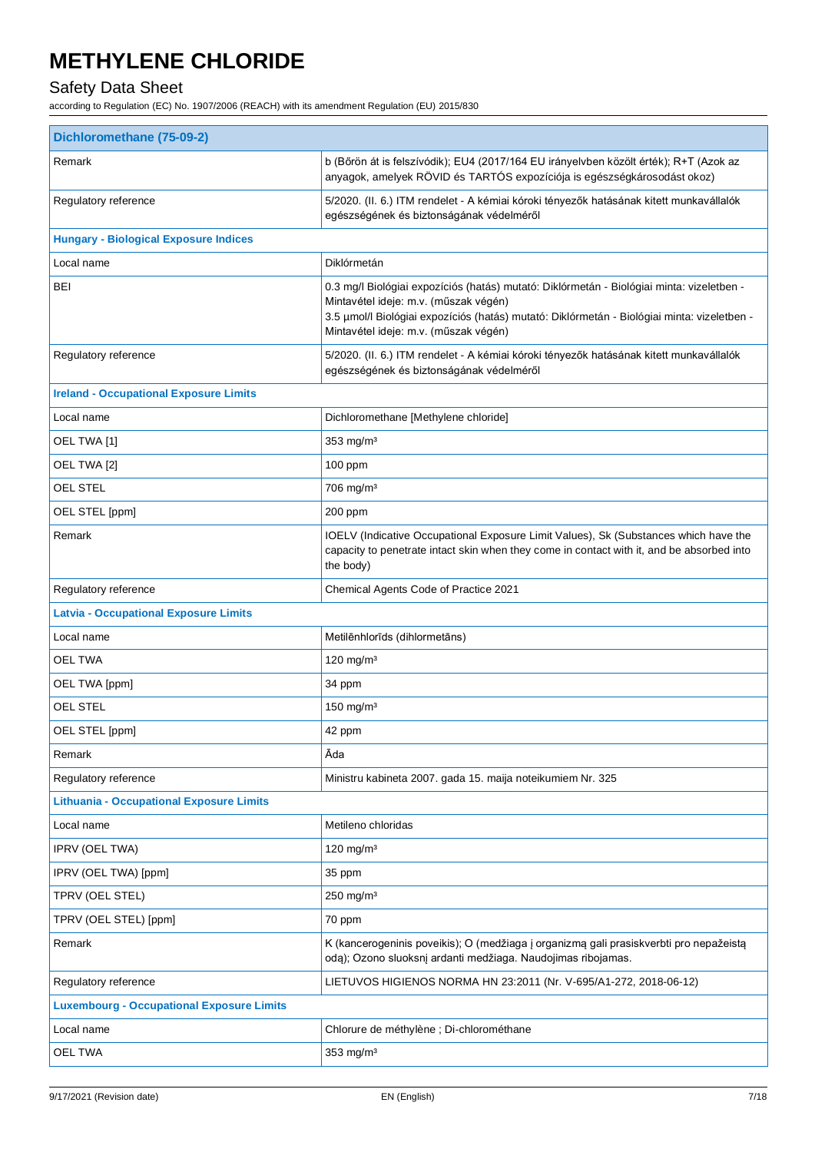### Safety Data Sheet

| Dichloromethane (75-09-2)                                                                                                                                                                                                                                                  |  |  |
|----------------------------------------------------------------------------------------------------------------------------------------------------------------------------------------------------------------------------------------------------------------------------|--|--|
| b (Bőrön át is felszívódik); EU4 (2017/164 EU irányelvben közölt érték); R+T (Azok az<br>anyagok, amelyek RÖVID és TARTÓS expozíciója is egészségkárosodást okoz)                                                                                                          |  |  |
| 5/2020. (II. 6.) ITM rendelet - A kémiai kóroki tényezők hatásának kitett munkavállalók<br>egészségének és biztonságának védelméről                                                                                                                                        |  |  |
|                                                                                                                                                                                                                                                                            |  |  |
| Diklórmetán                                                                                                                                                                                                                                                                |  |  |
| 0.3 mg/l Biológiai expozíciós (hatás) mutató: Diklórmetán - Biológiai minta: vizeletben -<br>Mintavétel ideje: m.v. (műszak végén)<br>3.5 µmol/l Biológiai expozíciós (hatás) mutató: Diklórmetán - Biológiai minta: vizeletben -<br>Mintavétel ideje: m.v. (műszak végén) |  |  |
| 5/2020. (II. 6.) ITM rendelet - A kémiai kóroki tényezők hatásának kitett munkavállalók<br>egészségének és biztonságának védelméről                                                                                                                                        |  |  |
|                                                                                                                                                                                                                                                                            |  |  |
| Dichloromethane [Methylene chloride]                                                                                                                                                                                                                                       |  |  |
| $353$ mg/m <sup>3</sup>                                                                                                                                                                                                                                                    |  |  |
| $100$ ppm                                                                                                                                                                                                                                                                  |  |  |
| 706 mg/m <sup>3</sup>                                                                                                                                                                                                                                                      |  |  |
| 200 ppm                                                                                                                                                                                                                                                                    |  |  |
| IOELV (Indicative Occupational Exposure Limit Values), Sk (Substances which have the<br>capacity to penetrate intact skin when they come in contact with it, and be absorbed into<br>the body)                                                                             |  |  |
| Chemical Agents Code of Practice 2021                                                                                                                                                                                                                                      |  |  |
|                                                                                                                                                                                                                                                                            |  |  |
| Metilēnhlorīds (dihlormetāns)                                                                                                                                                                                                                                              |  |  |
| 120 mg/m $3$                                                                                                                                                                                                                                                               |  |  |
| 34 ppm                                                                                                                                                                                                                                                                     |  |  |
| 150 mg/m $3$                                                                                                                                                                                                                                                               |  |  |
| 42 ppm                                                                                                                                                                                                                                                                     |  |  |
| Āda                                                                                                                                                                                                                                                                        |  |  |
| Ministru kabineta 2007. gada 15. maija noteikumiem Nr. 325                                                                                                                                                                                                                 |  |  |
| <b>Lithuania - Occupational Exposure Limits</b>                                                                                                                                                                                                                            |  |  |
| Metileno chloridas                                                                                                                                                                                                                                                         |  |  |
| 120 mg/m $3$                                                                                                                                                                                                                                                               |  |  |
| 35 ppm                                                                                                                                                                                                                                                                     |  |  |
| 250 mg/m <sup>3</sup>                                                                                                                                                                                                                                                      |  |  |
| 70 ppm                                                                                                                                                                                                                                                                     |  |  |
| K (kancerogeninis poveikis); O (medžiaga į organizmą gali prasiskverbti pro nepažeistą<br>odą); Ozono sluoksnį ardanti medžiaga. Naudojimas ribojamas.                                                                                                                     |  |  |
| LIETUVOS HIGIENOS NORMA HN 23:2011 (Nr. V-695/A1-272, 2018-06-12)                                                                                                                                                                                                          |  |  |
| <b>Luxembourg - Occupational Exposure Limits</b>                                                                                                                                                                                                                           |  |  |
| Chlorure de méthylène ; Di-chlorométhane                                                                                                                                                                                                                                   |  |  |
| 353 mg/m <sup>3</sup>                                                                                                                                                                                                                                                      |  |  |
|                                                                                                                                                                                                                                                                            |  |  |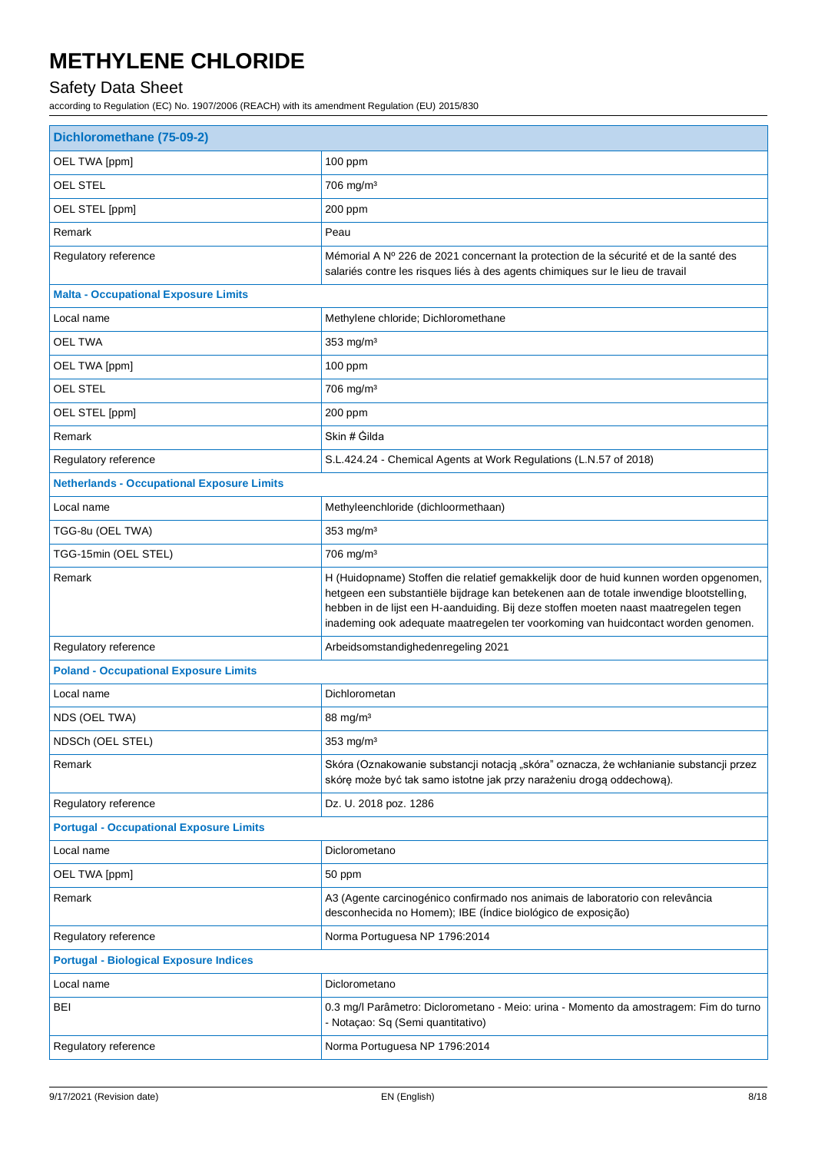### Safety Data Sheet

| OEL TWA [ppm]<br>100 ppm<br><b>OEL STEL</b><br>706 mg/m <sup>3</sup><br>OEL STEL [ppm]<br>200 ppm<br>Remark<br>Peau<br>Mémorial A Nº 226 de 2021 concernant la protection de la sécurité et de la santé des<br>Regulatory reference<br>salariés contre les risques liés à des agents chimiques sur le lieu de travail<br><b>Malta - Occupational Exposure Limits</b><br>Local name<br>Methylene chloride; Dichloromethane<br><b>OEL TWA</b><br>353 mg/m <sup>3</sup><br>OEL TWA [ppm]<br>$100$ ppm<br>OEL STEL<br>706 mg/m <sup>3</sup><br>OEL STEL [ppm]<br>200 ppm<br>Skin # Gilda<br>Remark<br>Regulatory reference<br>S.L.424.24 - Chemical Agents at Work Regulations (L.N.57 of 2018)<br><b>Netherlands - Occupational Exposure Limits</b><br>Local name<br>Methyleenchloride (dichloormethaan)<br>TGG-8u (OEL TWA)<br>353 mg/m <sup>3</sup><br>TGG-15min (OEL STEL)<br>706 mg/m <sup>3</sup><br>Remark<br>H (Huidopname) Stoffen die relatief gemakkelijk door de huid kunnen worden opgenomen,<br>hetgeen een substantiële bijdrage kan betekenen aan de totale inwendige blootstelling,<br>hebben in de lijst een H-aanduiding. Bij deze stoffen moeten naast maatregelen tegen<br>inademing ook adequate maatregelen ter voorkoming van huidcontact worden genomen.<br>Regulatory reference<br>Arbeidsomstandighedenregeling 2021<br><b>Poland - Occupational Exposure Limits</b><br>Dichlorometan<br>Local name<br>NDS (OEL TWA)<br>$88 \text{ mg/m}^3$<br>NDSCh (OEL STEL)<br>353 mg/m <sup>3</sup><br>Skóra (Oznakowanie substancji notacją "skóra" oznacza, że wchłanianie substancji przez<br>Remark<br>skórę może być tak samo istotne jak przy narażeniu drogą oddechową).<br>Dz. U. 2018 poz. 1286<br>Regulatory reference<br><b>Portugal - Occupational Exposure Limits</b><br>Local name<br>Diclorometano<br>OEL TWA [ppm]<br>50 ppm<br>Remark<br>A3 (Agente carcinogénico confirmado nos animais de laboratorio con relevância<br>desconhecida no Homem); IBE (Índice biológico de exposição)<br>Regulatory reference<br>Norma Portuguesa NP 1796:2014<br><b>Portugal - Biological Exposure Indices</b><br>Local name<br>Diclorometano<br>BEI<br>0.3 mg/l Parâmetro: Diclorometano - Meio: urina - Momento da amostragem: Fim do turno<br>- Notaçao: Sq (Semi quantitativo)<br>Regulatory reference<br>Norma Portuguesa NP 1796:2014 | Dichloromethane (75-09-2) |  |  |
|-----------------------------------------------------------------------------------------------------------------------------------------------------------------------------------------------------------------------------------------------------------------------------------------------------------------------------------------------------------------------------------------------------------------------------------------------------------------------------------------------------------------------------------------------------------------------------------------------------------------------------------------------------------------------------------------------------------------------------------------------------------------------------------------------------------------------------------------------------------------------------------------------------------------------------------------------------------------------------------------------------------------------------------------------------------------------------------------------------------------------------------------------------------------------------------------------------------------------------------------------------------------------------------------------------------------------------------------------------------------------------------------------------------------------------------------------------------------------------------------------------------------------------------------------------------------------------------------------------------------------------------------------------------------------------------------------------------------------------------------------------------------------------------------------------------------------------------------------------------------------------------------------------------------------------------------------------------------------------------------------------------------------------------------------------------------------------------------------------------------------------------------------------------------------------------------------------------------------------------------------------------------------------------------------------------------------------------------------------------|---------------------------|--|--|
|                                                                                                                                                                                                                                                                                                                                                                                                                                                                                                                                                                                                                                                                                                                                                                                                                                                                                                                                                                                                                                                                                                                                                                                                                                                                                                                                                                                                                                                                                                                                                                                                                                                                                                                                                                                                                                                                                                                                                                                                                                                                                                                                                                                                                                                                                                                                                           |                           |  |  |
|                                                                                                                                                                                                                                                                                                                                                                                                                                                                                                                                                                                                                                                                                                                                                                                                                                                                                                                                                                                                                                                                                                                                                                                                                                                                                                                                                                                                                                                                                                                                                                                                                                                                                                                                                                                                                                                                                                                                                                                                                                                                                                                                                                                                                                                                                                                                                           |                           |  |  |
|                                                                                                                                                                                                                                                                                                                                                                                                                                                                                                                                                                                                                                                                                                                                                                                                                                                                                                                                                                                                                                                                                                                                                                                                                                                                                                                                                                                                                                                                                                                                                                                                                                                                                                                                                                                                                                                                                                                                                                                                                                                                                                                                                                                                                                                                                                                                                           |                           |  |  |
|                                                                                                                                                                                                                                                                                                                                                                                                                                                                                                                                                                                                                                                                                                                                                                                                                                                                                                                                                                                                                                                                                                                                                                                                                                                                                                                                                                                                                                                                                                                                                                                                                                                                                                                                                                                                                                                                                                                                                                                                                                                                                                                                                                                                                                                                                                                                                           |                           |  |  |
|                                                                                                                                                                                                                                                                                                                                                                                                                                                                                                                                                                                                                                                                                                                                                                                                                                                                                                                                                                                                                                                                                                                                                                                                                                                                                                                                                                                                                                                                                                                                                                                                                                                                                                                                                                                                                                                                                                                                                                                                                                                                                                                                                                                                                                                                                                                                                           |                           |  |  |
|                                                                                                                                                                                                                                                                                                                                                                                                                                                                                                                                                                                                                                                                                                                                                                                                                                                                                                                                                                                                                                                                                                                                                                                                                                                                                                                                                                                                                                                                                                                                                                                                                                                                                                                                                                                                                                                                                                                                                                                                                                                                                                                                                                                                                                                                                                                                                           |                           |  |  |
|                                                                                                                                                                                                                                                                                                                                                                                                                                                                                                                                                                                                                                                                                                                                                                                                                                                                                                                                                                                                                                                                                                                                                                                                                                                                                                                                                                                                                                                                                                                                                                                                                                                                                                                                                                                                                                                                                                                                                                                                                                                                                                                                                                                                                                                                                                                                                           |                           |  |  |
|                                                                                                                                                                                                                                                                                                                                                                                                                                                                                                                                                                                                                                                                                                                                                                                                                                                                                                                                                                                                                                                                                                                                                                                                                                                                                                                                                                                                                                                                                                                                                                                                                                                                                                                                                                                                                                                                                                                                                                                                                                                                                                                                                                                                                                                                                                                                                           |                           |  |  |
|                                                                                                                                                                                                                                                                                                                                                                                                                                                                                                                                                                                                                                                                                                                                                                                                                                                                                                                                                                                                                                                                                                                                                                                                                                                                                                                                                                                                                                                                                                                                                                                                                                                                                                                                                                                                                                                                                                                                                                                                                                                                                                                                                                                                                                                                                                                                                           |                           |  |  |
|                                                                                                                                                                                                                                                                                                                                                                                                                                                                                                                                                                                                                                                                                                                                                                                                                                                                                                                                                                                                                                                                                                                                                                                                                                                                                                                                                                                                                                                                                                                                                                                                                                                                                                                                                                                                                                                                                                                                                                                                                                                                                                                                                                                                                                                                                                                                                           |                           |  |  |
|                                                                                                                                                                                                                                                                                                                                                                                                                                                                                                                                                                                                                                                                                                                                                                                                                                                                                                                                                                                                                                                                                                                                                                                                                                                                                                                                                                                                                                                                                                                                                                                                                                                                                                                                                                                                                                                                                                                                                                                                                                                                                                                                                                                                                                                                                                                                                           |                           |  |  |
|                                                                                                                                                                                                                                                                                                                                                                                                                                                                                                                                                                                                                                                                                                                                                                                                                                                                                                                                                                                                                                                                                                                                                                                                                                                                                                                                                                                                                                                                                                                                                                                                                                                                                                                                                                                                                                                                                                                                                                                                                                                                                                                                                                                                                                                                                                                                                           |                           |  |  |
|                                                                                                                                                                                                                                                                                                                                                                                                                                                                                                                                                                                                                                                                                                                                                                                                                                                                                                                                                                                                                                                                                                                                                                                                                                                                                                                                                                                                                                                                                                                                                                                                                                                                                                                                                                                                                                                                                                                                                                                                                                                                                                                                                                                                                                                                                                                                                           |                           |  |  |
|                                                                                                                                                                                                                                                                                                                                                                                                                                                                                                                                                                                                                                                                                                                                                                                                                                                                                                                                                                                                                                                                                                                                                                                                                                                                                                                                                                                                                                                                                                                                                                                                                                                                                                                                                                                                                                                                                                                                                                                                                                                                                                                                                                                                                                                                                                                                                           |                           |  |  |
|                                                                                                                                                                                                                                                                                                                                                                                                                                                                                                                                                                                                                                                                                                                                                                                                                                                                                                                                                                                                                                                                                                                                                                                                                                                                                                                                                                                                                                                                                                                                                                                                                                                                                                                                                                                                                                                                                                                                                                                                                                                                                                                                                                                                                                                                                                                                                           |                           |  |  |
|                                                                                                                                                                                                                                                                                                                                                                                                                                                                                                                                                                                                                                                                                                                                                                                                                                                                                                                                                                                                                                                                                                                                                                                                                                                                                                                                                                                                                                                                                                                                                                                                                                                                                                                                                                                                                                                                                                                                                                                                                                                                                                                                                                                                                                                                                                                                                           |                           |  |  |
|                                                                                                                                                                                                                                                                                                                                                                                                                                                                                                                                                                                                                                                                                                                                                                                                                                                                                                                                                                                                                                                                                                                                                                                                                                                                                                                                                                                                                                                                                                                                                                                                                                                                                                                                                                                                                                                                                                                                                                                                                                                                                                                                                                                                                                                                                                                                                           |                           |  |  |
|                                                                                                                                                                                                                                                                                                                                                                                                                                                                                                                                                                                                                                                                                                                                                                                                                                                                                                                                                                                                                                                                                                                                                                                                                                                                                                                                                                                                                                                                                                                                                                                                                                                                                                                                                                                                                                                                                                                                                                                                                                                                                                                                                                                                                                                                                                                                                           |                           |  |  |
|                                                                                                                                                                                                                                                                                                                                                                                                                                                                                                                                                                                                                                                                                                                                                                                                                                                                                                                                                                                                                                                                                                                                                                                                                                                                                                                                                                                                                                                                                                                                                                                                                                                                                                                                                                                                                                                                                                                                                                                                                                                                                                                                                                                                                                                                                                                                                           |                           |  |  |
|                                                                                                                                                                                                                                                                                                                                                                                                                                                                                                                                                                                                                                                                                                                                                                                                                                                                                                                                                                                                                                                                                                                                                                                                                                                                                                                                                                                                                                                                                                                                                                                                                                                                                                                                                                                                                                                                                                                                                                                                                                                                                                                                                                                                                                                                                                                                                           |                           |  |  |
|                                                                                                                                                                                                                                                                                                                                                                                                                                                                                                                                                                                                                                                                                                                                                                                                                                                                                                                                                                                                                                                                                                                                                                                                                                                                                                                                                                                                                                                                                                                                                                                                                                                                                                                                                                                                                                                                                                                                                                                                                                                                                                                                                                                                                                                                                                                                                           |                           |  |  |
|                                                                                                                                                                                                                                                                                                                                                                                                                                                                                                                                                                                                                                                                                                                                                                                                                                                                                                                                                                                                                                                                                                                                                                                                                                                                                                                                                                                                                                                                                                                                                                                                                                                                                                                                                                                                                                                                                                                                                                                                                                                                                                                                                                                                                                                                                                                                                           |                           |  |  |
|                                                                                                                                                                                                                                                                                                                                                                                                                                                                                                                                                                                                                                                                                                                                                                                                                                                                                                                                                                                                                                                                                                                                                                                                                                                                                                                                                                                                                                                                                                                                                                                                                                                                                                                                                                                                                                                                                                                                                                                                                                                                                                                                                                                                                                                                                                                                                           |                           |  |  |
|                                                                                                                                                                                                                                                                                                                                                                                                                                                                                                                                                                                                                                                                                                                                                                                                                                                                                                                                                                                                                                                                                                                                                                                                                                                                                                                                                                                                                                                                                                                                                                                                                                                                                                                                                                                                                                                                                                                                                                                                                                                                                                                                                                                                                                                                                                                                                           |                           |  |  |
|                                                                                                                                                                                                                                                                                                                                                                                                                                                                                                                                                                                                                                                                                                                                                                                                                                                                                                                                                                                                                                                                                                                                                                                                                                                                                                                                                                                                                                                                                                                                                                                                                                                                                                                                                                                                                                                                                                                                                                                                                                                                                                                                                                                                                                                                                                                                                           |                           |  |  |
|                                                                                                                                                                                                                                                                                                                                                                                                                                                                                                                                                                                                                                                                                                                                                                                                                                                                                                                                                                                                                                                                                                                                                                                                                                                                                                                                                                                                                                                                                                                                                                                                                                                                                                                                                                                                                                                                                                                                                                                                                                                                                                                                                                                                                                                                                                                                                           |                           |  |  |
|                                                                                                                                                                                                                                                                                                                                                                                                                                                                                                                                                                                                                                                                                                                                                                                                                                                                                                                                                                                                                                                                                                                                                                                                                                                                                                                                                                                                                                                                                                                                                                                                                                                                                                                                                                                                                                                                                                                                                                                                                                                                                                                                                                                                                                                                                                                                                           |                           |  |  |
|                                                                                                                                                                                                                                                                                                                                                                                                                                                                                                                                                                                                                                                                                                                                                                                                                                                                                                                                                                                                                                                                                                                                                                                                                                                                                                                                                                                                                                                                                                                                                                                                                                                                                                                                                                                                                                                                                                                                                                                                                                                                                                                                                                                                                                                                                                                                                           |                           |  |  |
|                                                                                                                                                                                                                                                                                                                                                                                                                                                                                                                                                                                                                                                                                                                                                                                                                                                                                                                                                                                                                                                                                                                                                                                                                                                                                                                                                                                                                                                                                                                                                                                                                                                                                                                                                                                                                                                                                                                                                                                                                                                                                                                                                                                                                                                                                                                                                           |                           |  |  |
|                                                                                                                                                                                                                                                                                                                                                                                                                                                                                                                                                                                                                                                                                                                                                                                                                                                                                                                                                                                                                                                                                                                                                                                                                                                                                                                                                                                                                                                                                                                                                                                                                                                                                                                                                                                                                                                                                                                                                                                                                                                                                                                                                                                                                                                                                                                                                           |                           |  |  |
|                                                                                                                                                                                                                                                                                                                                                                                                                                                                                                                                                                                                                                                                                                                                                                                                                                                                                                                                                                                                                                                                                                                                                                                                                                                                                                                                                                                                                                                                                                                                                                                                                                                                                                                                                                                                                                                                                                                                                                                                                                                                                                                                                                                                                                                                                                                                                           |                           |  |  |
|                                                                                                                                                                                                                                                                                                                                                                                                                                                                                                                                                                                                                                                                                                                                                                                                                                                                                                                                                                                                                                                                                                                                                                                                                                                                                                                                                                                                                                                                                                                                                                                                                                                                                                                                                                                                                                                                                                                                                                                                                                                                                                                                                                                                                                                                                                                                                           |                           |  |  |
|                                                                                                                                                                                                                                                                                                                                                                                                                                                                                                                                                                                                                                                                                                                                                                                                                                                                                                                                                                                                                                                                                                                                                                                                                                                                                                                                                                                                                                                                                                                                                                                                                                                                                                                                                                                                                                                                                                                                                                                                                                                                                                                                                                                                                                                                                                                                                           |                           |  |  |
|                                                                                                                                                                                                                                                                                                                                                                                                                                                                                                                                                                                                                                                                                                                                                                                                                                                                                                                                                                                                                                                                                                                                                                                                                                                                                                                                                                                                                                                                                                                                                                                                                                                                                                                                                                                                                                                                                                                                                                                                                                                                                                                                                                                                                                                                                                                                                           |                           |  |  |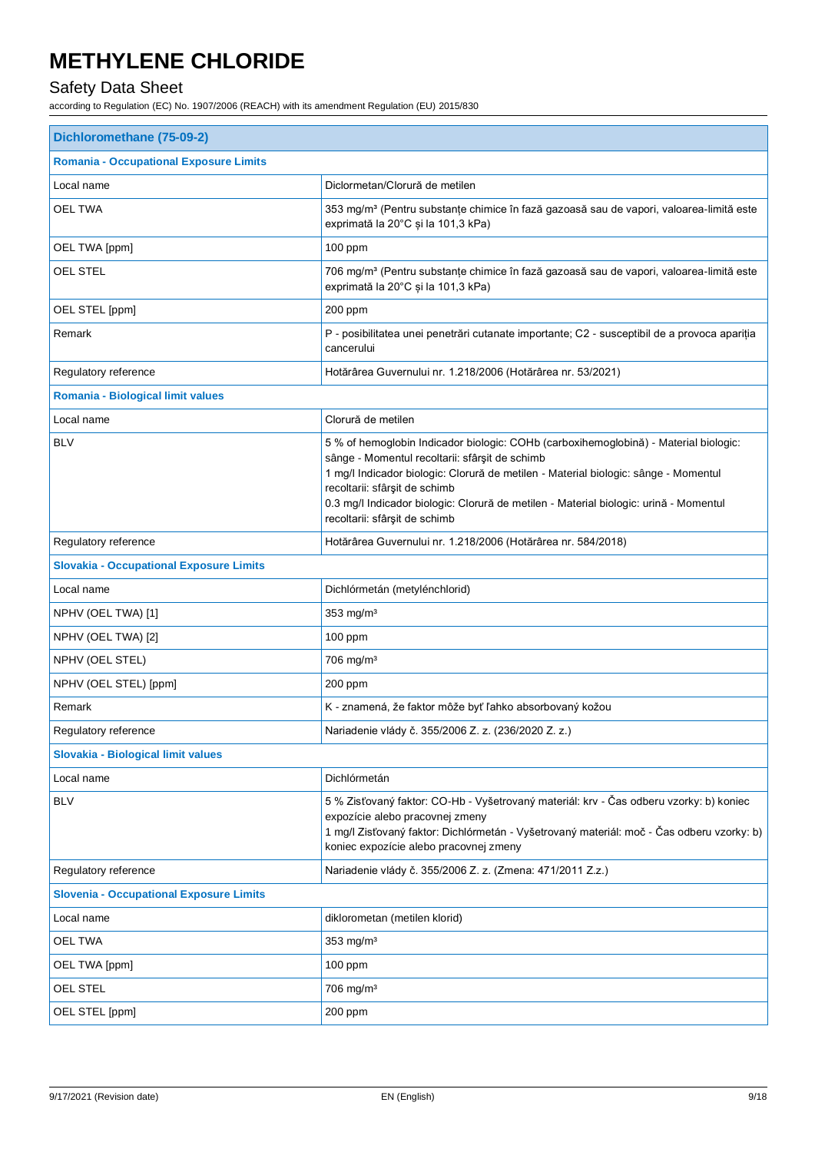### Safety Data Sheet

| Dichloromethane (75-09-2)                      |                                                                                                                                                                                                                                                                                                                                                                                          |  |
|------------------------------------------------|------------------------------------------------------------------------------------------------------------------------------------------------------------------------------------------------------------------------------------------------------------------------------------------------------------------------------------------------------------------------------------------|--|
| <b>Romania - Occupational Exposure Limits</b>  |                                                                                                                                                                                                                                                                                                                                                                                          |  |
| Local name                                     | Diclormetan/Clorură de metilen                                                                                                                                                                                                                                                                                                                                                           |  |
| <b>OEL TWA</b>                                 | 353 mg/m <sup>3</sup> (Pentru substanțe chimice în fază gazoasă sau de vapori, valoarea-limită este<br>exprimată la 20°C și la 101,3 kPa)                                                                                                                                                                                                                                                |  |
| OEL TWA [ppm]                                  | 100 ppm                                                                                                                                                                                                                                                                                                                                                                                  |  |
| <b>OEL STEL</b>                                | 706 mg/m <sup>3</sup> (Pentru substanțe chimice în fază gazoasă sau de vapori, valoarea-limită este<br>exprimată la 20°C și la 101,3 kPa)                                                                                                                                                                                                                                                |  |
| OEL STEL [ppm]                                 | 200 ppm                                                                                                                                                                                                                                                                                                                                                                                  |  |
| Remark                                         | P - posibilitatea unei penetrări cutanate importante; C2 - susceptibil de a provoca apariția<br>cancerului                                                                                                                                                                                                                                                                               |  |
| Regulatory reference                           | Hotărârea Guvernului nr. 1.218/2006 (Hotărârea nr. 53/2021)                                                                                                                                                                                                                                                                                                                              |  |
| Romania - Biological limit values              |                                                                                                                                                                                                                                                                                                                                                                                          |  |
| Local name                                     | Clorură de metilen                                                                                                                                                                                                                                                                                                                                                                       |  |
| <b>BLV</b>                                     | 5 % of hemoglobin Indicador biologic: COHb (carboxihemoglobină) - Material biologic:<br>sânge - Momentul recoltarii: sfârșit de schimb<br>1 mg/l Indicador biologic: Clorură de metilen - Material biologic: sânge - Momentul<br>recoltarii: sfârșit de schimb<br>0.3 mg/l Indicador biologic: Clorură de metilen - Material biologic: urină - Momentul<br>recoltarii: sfârșit de schimb |  |
| Regulatory reference                           | Hotărârea Guvernului nr. 1.218/2006 (Hotărârea nr. 584/2018)                                                                                                                                                                                                                                                                                                                             |  |
| <b>Slovakia - Occupational Exposure Limits</b> |                                                                                                                                                                                                                                                                                                                                                                                          |  |
| Local name                                     | Dichlórmetán (metylénchlorid)                                                                                                                                                                                                                                                                                                                                                            |  |
| NPHV (OEL TWA) [1]                             | 353 mg/m <sup>3</sup>                                                                                                                                                                                                                                                                                                                                                                    |  |
| NPHV (OEL TWA) [2]                             | $100$ ppm                                                                                                                                                                                                                                                                                                                                                                                |  |
| NPHV (OEL STEL)                                | 706 mg/m <sup>3</sup>                                                                                                                                                                                                                                                                                                                                                                    |  |
| NPHV (OEL STEL) [ppm]                          | 200 ppm                                                                                                                                                                                                                                                                                                                                                                                  |  |
| Remark                                         | K - znamená, že faktor môže byť ľahko absorbovaný kožou                                                                                                                                                                                                                                                                                                                                  |  |
| Regulatory reference                           | Nariadenie vlády č. 355/2006 Z. z. (236/2020 Z. z.)                                                                                                                                                                                                                                                                                                                                      |  |
| Slovakia - Biological limit values             |                                                                                                                                                                                                                                                                                                                                                                                          |  |
| Local name                                     | Dichlórmetán                                                                                                                                                                                                                                                                                                                                                                             |  |
| <b>BLV</b>                                     | 5 % Zisťovaný faktor: CO-Hb - Vyšetrovaný materiál: krv - Čas odberu vzorky: b) koniec<br>expozície alebo pracovnej zmeny<br>1 mg/l Zisťovaný faktor: Dichlórmetán - Vyšetrovaný materiál: moč - Čas odberu vzorky: b)<br>koniec expozície alebo pracovnej zmeny                                                                                                                         |  |
| Regulatory reference                           | Nariadenie vlády č. 355/2006 Z. z. (Zmena: 471/2011 Z.z.)                                                                                                                                                                                                                                                                                                                                |  |
| <b>Slovenia - Occupational Exposure Limits</b> |                                                                                                                                                                                                                                                                                                                                                                                          |  |
| Local name                                     | diklorometan (metilen klorid)                                                                                                                                                                                                                                                                                                                                                            |  |
| <b>OEL TWA</b>                                 | 353 mg/m <sup>3</sup>                                                                                                                                                                                                                                                                                                                                                                    |  |
| OEL TWA [ppm]                                  | $100$ ppm                                                                                                                                                                                                                                                                                                                                                                                |  |
| OEL STEL                                       | 706 mg/m <sup>3</sup>                                                                                                                                                                                                                                                                                                                                                                    |  |
| OEL STEL [ppm]                                 | 200 ppm                                                                                                                                                                                                                                                                                                                                                                                  |  |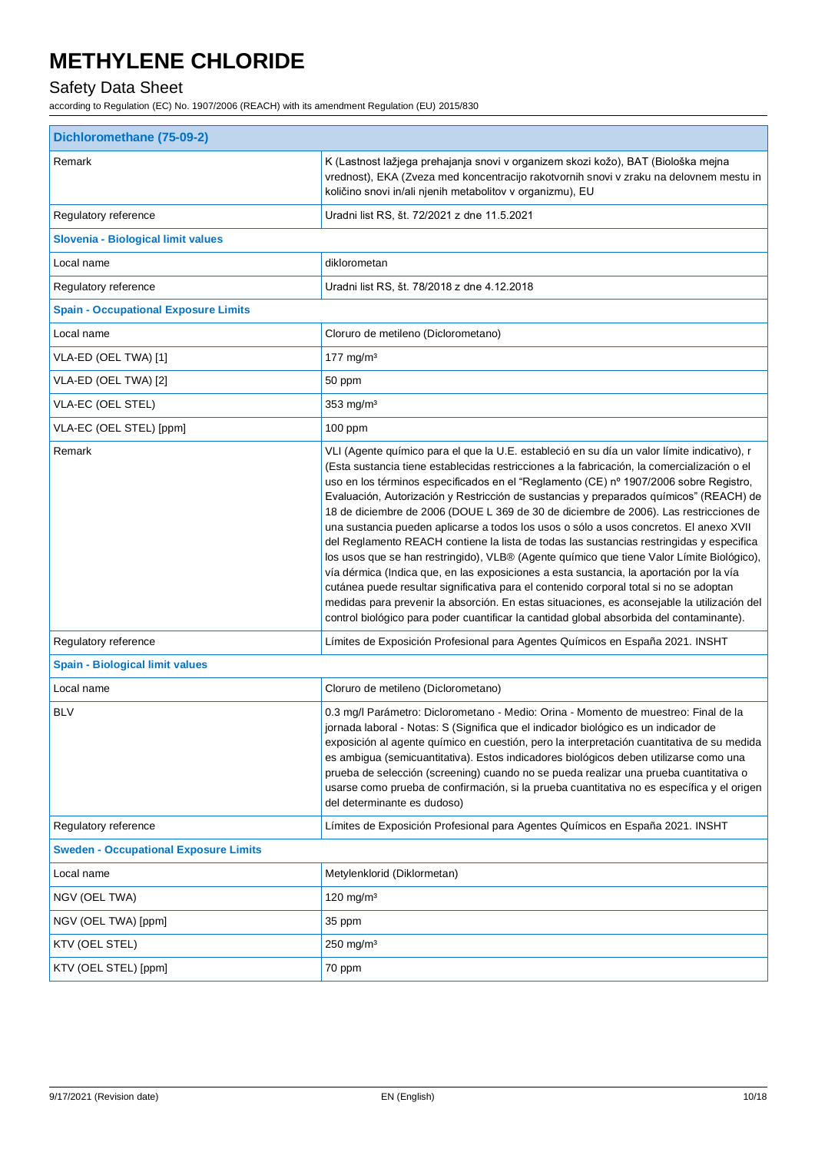### Safety Data Sheet

| Dichloromethane (75-09-2)                    |                                                                                                                                                                                                                                                                                                                                                                                                                                                                                                                                                                                                                                                                                                                                                                                                                                                                                                                                                                                                                                                                                                                                           |  |
|----------------------------------------------|-------------------------------------------------------------------------------------------------------------------------------------------------------------------------------------------------------------------------------------------------------------------------------------------------------------------------------------------------------------------------------------------------------------------------------------------------------------------------------------------------------------------------------------------------------------------------------------------------------------------------------------------------------------------------------------------------------------------------------------------------------------------------------------------------------------------------------------------------------------------------------------------------------------------------------------------------------------------------------------------------------------------------------------------------------------------------------------------------------------------------------------------|--|
| Remark                                       | K (Lastnost lažjega prehajanja snovi v organizem skozi kožo), BAT (Biološka mejna<br>vrednost), EKA (Zveza med koncentracijo rakotvornih snovi v zraku na delovnem mestu in<br>količino snovi in/ali njenih metabolitov v organizmu), EU                                                                                                                                                                                                                                                                                                                                                                                                                                                                                                                                                                                                                                                                                                                                                                                                                                                                                                  |  |
| Regulatory reference                         | Uradni list RS, št. 72/2021 z dne 11.5.2021                                                                                                                                                                                                                                                                                                                                                                                                                                                                                                                                                                                                                                                                                                                                                                                                                                                                                                                                                                                                                                                                                               |  |
| Slovenia - Biological limit values           |                                                                                                                                                                                                                                                                                                                                                                                                                                                                                                                                                                                                                                                                                                                                                                                                                                                                                                                                                                                                                                                                                                                                           |  |
| Local name                                   | diklorometan                                                                                                                                                                                                                                                                                                                                                                                                                                                                                                                                                                                                                                                                                                                                                                                                                                                                                                                                                                                                                                                                                                                              |  |
| Regulatory reference                         | Uradni list RS, št. 78/2018 z dne 4.12.2018                                                                                                                                                                                                                                                                                                                                                                                                                                                                                                                                                                                                                                                                                                                                                                                                                                                                                                                                                                                                                                                                                               |  |
| <b>Spain - Occupational Exposure Limits</b>  |                                                                                                                                                                                                                                                                                                                                                                                                                                                                                                                                                                                                                                                                                                                                                                                                                                                                                                                                                                                                                                                                                                                                           |  |
| Local name                                   | Cloruro de metileno (Diclorometano)                                                                                                                                                                                                                                                                                                                                                                                                                                                                                                                                                                                                                                                                                                                                                                                                                                                                                                                                                                                                                                                                                                       |  |
| VLA-ED (OEL TWA) [1]                         | 177 mg/m $3$                                                                                                                                                                                                                                                                                                                                                                                                                                                                                                                                                                                                                                                                                                                                                                                                                                                                                                                                                                                                                                                                                                                              |  |
| VLA-ED (OEL TWA) [2]                         | 50 ppm                                                                                                                                                                                                                                                                                                                                                                                                                                                                                                                                                                                                                                                                                                                                                                                                                                                                                                                                                                                                                                                                                                                                    |  |
| VLA-EC (OEL STEL)                            | 353 mg/m <sup>3</sup>                                                                                                                                                                                                                                                                                                                                                                                                                                                                                                                                                                                                                                                                                                                                                                                                                                                                                                                                                                                                                                                                                                                     |  |
| VLA-EC (OEL STEL) [ppm]                      | $100$ ppm                                                                                                                                                                                                                                                                                                                                                                                                                                                                                                                                                                                                                                                                                                                                                                                                                                                                                                                                                                                                                                                                                                                                 |  |
| Remark                                       | VLI (Agente químico para el que la U.E. estableció en su día un valor límite indicativo), r<br>(Esta sustancia tiene establecidas restricciones a la fabricación, la comercialización o el<br>uso en los términos especificados en el "Reglamento (CE) nº 1907/2006 sobre Registro,<br>Evaluación, Autorización y Restricción de sustancias y preparados químicos" (REACH) de<br>18 de diciembre de 2006 (DOUE L 369 de 30 de diciembre de 2006). Las restricciones de<br>una sustancia pueden aplicarse a todos los usos o sólo a usos concretos. El anexo XVII<br>del Reglamento REACH contiene la lista de todas las sustancias restringidas y especifica<br>los usos que se han restringido), VLB® (Agente químico que tiene Valor Límite Biológico),<br>vía dérmica (Indica que, en las exposiciones a esta sustancia, la aportación por la vía<br>cutánea puede resultar significativa para el contenido corporal total si no se adoptan<br>medidas para prevenir la absorción. En estas situaciones, es aconsejable la utilización del<br>control biológico para poder cuantificar la cantidad global absorbida del contaminante). |  |
| Regulatory reference                         | Límites de Exposición Profesional para Agentes Químicos en España 2021. INSHT                                                                                                                                                                                                                                                                                                                                                                                                                                                                                                                                                                                                                                                                                                                                                                                                                                                                                                                                                                                                                                                             |  |
| <b>Spain - Biological limit values</b>       |                                                                                                                                                                                                                                                                                                                                                                                                                                                                                                                                                                                                                                                                                                                                                                                                                                                                                                                                                                                                                                                                                                                                           |  |
| Local name                                   | Cloruro de metileno (Diclorometano)                                                                                                                                                                                                                                                                                                                                                                                                                                                                                                                                                                                                                                                                                                                                                                                                                                                                                                                                                                                                                                                                                                       |  |
| <b>BLV</b>                                   | 0.3 mg/l Parámetro: Diclorometano - Medio: Orina - Momento de muestreo: Final de la<br>jornada laboral - Notas: S (Significa que el indicador biológico es un indicador de<br>exposición al agente químico en cuestión, pero la interpretación cuantitativa de su medida<br>es ambigua (semicuantitativa). Estos indicadores biológicos deben utilizarse como una<br>prueba de selección (screening) cuando no se pueda realizar una prueba cuantitativa o<br>usarse como prueba de confirmación, si la prueba cuantitativa no es específica y el origen<br>del determinante es dudoso)                                                                                                                                                                                                                                                                                                                                                                                                                                                                                                                                                   |  |
| Regulatory reference                         | Límites de Exposición Profesional para Agentes Químicos en España 2021. INSHT                                                                                                                                                                                                                                                                                                                                                                                                                                                                                                                                                                                                                                                                                                                                                                                                                                                                                                                                                                                                                                                             |  |
| <b>Sweden - Occupational Exposure Limits</b> |                                                                                                                                                                                                                                                                                                                                                                                                                                                                                                                                                                                                                                                                                                                                                                                                                                                                                                                                                                                                                                                                                                                                           |  |
| Local name                                   | Metylenklorid (Diklormetan)                                                                                                                                                                                                                                                                                                                                                                                                                                                                                                                                                                                                                                                                                                                                                                                                                                                                                                                                                                                                                                                                                                               |  |
| NGV (OEL TWA)                                | 120 mg/m $3$                                                                                                                                                                                                                                                                                                                                                                                                                                                                                                                                                                                                                                                                                                                                                                                                                                                                                                                                                                                                                                                                                                                              |  |
| NGV (OEL TWA) [ppm]                          | 35 ppm                                                                                                                                                                                                                                                                                                                                                                                                                                                                                                                                                                                                                                                                                                                                                                                                                                                                                                                                                                                                                                                                                                                                    |  |
| KTV (OEL STEL)                               | $250 \text{ mg/m}^3$                                                                                                                                                                                                                                                                                                                                                                                                                                                                                                                                                                                                                                                                                                                                                                                                                                                                                                                                                                                                                                                                                                                      |  |
| KTV (OEL STEL) [ppm]                         | 70 ppm                                                                                                                                                                                                                                                                                                                                                                                                                                                                                                                                                                                                                                                                                                                                                                                                                                                                                                                                                                                                                                                                                                                                    |  |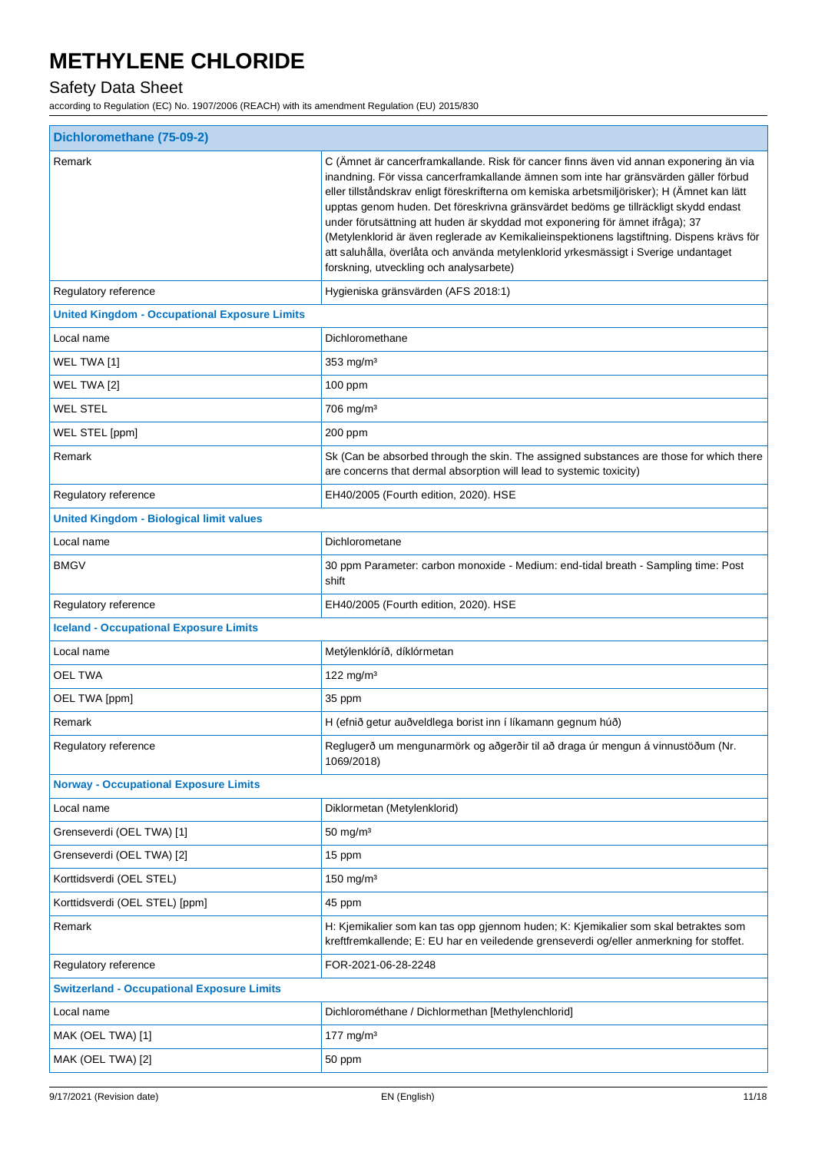### Safety Data Sheet

|                                                      | Dichloromethane (75-09-2)                                                                                                                                                                                                                                                                                                                                                                                                                                                                                                                                                                                                                                                             |  |  |
|------------------------------------------------------|---------------------------------------------------------------------------------------------------------------------------------------------------------------------------------------------------------------------------------------------------------------------------------------------------------------------------------------------------------------------------------------------------------------------------------------------------------------------------------------------------------------------------------------------------------------------------------------------------------------------------------------------------------------------------------------|--|--|
| Remark                                               | C (Ämnet är cancerframkallande. Risk för cancer finns även vid annan exponering än via<br>inandning. För vissa cancerframkallande ämnen som inte har gränsvärden gäller förbud<br>eller tillståndskrav enligt föreskrifterna om kemiska arbetsmiljörisker); H (Ämnet kan lätt<br>upptas genom huden. Det föreskrivna gränsvärdet bedöms ge tillräckligt skydd endast<br>under förutsättning att huden är skyddad mot exponering för ämnet ifråga); 37<br>(Metylenklorid är även reglerade av Kemikalieinspektionens lagstiftning. Dispens krävs för<br>att saluhålla, överlåta och använda metylenklorid yrkesmässigt i Sverige undantaget<br>forskning, utveckling och analysarbete) |  |  |
| Regulatory reference                                 | Hygieniska gränsvärden (AFS 2018:1)                                                                                                                                                                                                                                                                                                                                                                                                                                                                                                                                                                                                                                                   |  |  |
| <b>United Kingdom - Occupational Exposure Limits</b> |                                                                                                                                                                                                                                                                                                                                                                                                                                                                                                                                                                                                                                                                                       |  |  |
| Local name                                           | Dichloromethane                                                                                                                                                                                                                                                                                                                                                                                                                                                                                                                                                                                                                                                                       |  |  |
| WEL TWA [1]                                          | 353 mg/m <sup>3</sup>                                                                                                                                                                                                                                                                                                                                                                                                                                                                                                                                                                                                                                                                 |  |  |
| WEL TWA [2]                                          | $100$ ppm                                                                                                                                                                                                                                                                                                                                                                                                                                                                                                                                                                                                                                                                             |  |  |
| <b>WEL STEL</b>                                      | 706 mg/m <sup>3</sup>                                                                                                                                                                                                                                                                                                                                                                                                                                                                                                                                                                                                                                                                 |  |  |
| WEL STEL [ppm]                                       | 200 ppm                                                                                                                                                                                                                                                                                                                                                                                                                                                                                                                                                                                                                                                                               |  |  |
| Remark                                               | Sk (Can be absorbed through the skin. The assigned substances are those for which there<br>are concerns that dermal absorption will lead to systemic toxicity)                                                                                                                                                                                                                                                                                                                                                                                                                                                                                                                        |  |  |
| Regulatory reference                                 | EH40/2005 (Fourth edition, 2020). HSE                                                                                                                                                                                                                                                                                                                                                                                                                                                                                                                                                                                                                                                 |  |  |
| <b>United Kingdom - Biological limit values</b>      |                                                                                                                                                                                                                                                                                                                                                                                                                                                                                                                                                                                                                                                                                       |  |  |
| Local name                                           | Dichlorometane                                                                                                                                                                                                                                                                                                                                                                                                                                                                                                                                                                                                                                                                        |  |  |
| <b>BMGV</b>                                          | 30 ppm Parameter: carbon monoxide - Medium: end-tidal breath - Sampling time: Post<br>shift                                                                                                                                                                                                                                                                                                                                                                                                                                                                                                                                                                                           |  |  |
| Regulatory reference                                 | EH40/2005 (Fourth edition, 2020). HSE                                                                                                                                                                                                                                                                                                                                                                                                                                                                                                                                                                                                                                                 |  |  |
| <b>Iceland - Occupational Exposure Limits</b>        |                                                                                                                                                                                                                                                                                                                                                                                                                                                                                                                                                                                                                                                                                       |  |  |
| Local name                                           | Metýlenklóríð, díklórmetan                                                                                                                                                                                                                                                                                                                                                                                                                                                                                                                                                                                                                                                            |  |  |
| <b>OEL TWA</b>                                       | 122 mg/m $3$                                                                                                                                                                                                                                                                                                                                                                                                                                                                                                                                                                                                                                                                          |  |  |
| OEL TWA [ppm]                                        | 35 ppm                                                                                                                                                                                                                                                                                                                                                                                                                                                                                                                                                                                                                                                                                |  |  |
| Remark                                               | H (efnið getur auðveldlega borist inn í líkamann gegnum húð)                                                                                                                                                                                                                                                                                                                                                                                                                                                                                                                                                                                                                          |  |  |
| Regulatory reference                                 | Reglugerð um mengunarmörk og aðgerðir til að draga úr mengun á vinnustöðum (Nr.<br>1069/2018)                                                                                                                                                                                                                                                                                                                                                                                                                                                                                                                                                                                         |  |  |
| <b>Norway - Occupational Exposure Limits</b>         |                                                                                                                                                                                                                                                                                                                                                                                                                                                                                                                                                                                                                                                                                       |  |  |
| Local name                                           | Diklormetan (Metylenklorid)                                                                                                                                                                                                                                                                                                                                                                                                                                                                                                                                                                                                                                                           |  |  |
| Grenseverdi (OEL TWA) [1]                            | $50 \text{ mg/m}^3$                                                                                                                                                                                                                                                                                                                                                                                                                                                                                                                                                                                                                                                                   |  |  |
| Grenseverdi (OEL TWA) [2]                            | 15 ppm                                                                                                                                                                                                                                                                                                                                                                                                                                                                                                                                                                                                                                                                                |  |  |
| Korttidsverdi (OEL STEL)                             | 150 mg/m $3$                                                                                                                                                                                                                                                                                                                                                                                                                                                                                                                                                                                                                                                                          |  |  |
| Korttidsverdi (OEL STEL) [ppm]                       | 45 ppm                                                                                                                                                                                                                                                                                                                                                                                                                                                                                                                                                                                                                                                                                |  |  |
| Remark                                               | H: Kjemikalier som kan tas opp gjennom huden; K: Kjemikalier som skal betraktes som<br>kreftfremkallende; E: EU har en veiledende grenseverdi og/eller anmerkning for stoffet.                                                                                                                                                                                                                                                                                                                                                                                                                                                                                                        |  |  |
| Regulatory reference                                 | FOR-2021-06-28-2248                                                                                                                                                                                                                                                                                                                                                                                                                                                                                                                                                                                                                                                                   |  |  |
| <b>Switzerland - Occupational Exposure Limits</b>    |                                                                                                                                                                                                                                                                                                                                                                                                                                                                                                                                                                                                                                                                                       |  |  |
| Local name                                           | Dichlorométhane / Dichlormethan [Methylenchlorid]                                                                                                                                                                                                                                                                                                                                                                                                                                                                                                                                                                                                                                     |  |  |
| MAK (OEL TWA) [1]                                    | 177 mg/m $3$                                                                                                                                                                                                                                                                                                                                                                                                                                                                                                                                                                                                                                                                          |  |  |
| MAK (OEL TWA) [2]                                    | 50 ppm                                                                                                                                                                                                                                                                                                                                                                                                                                                                                                                                                                                                                                                                                |  |  |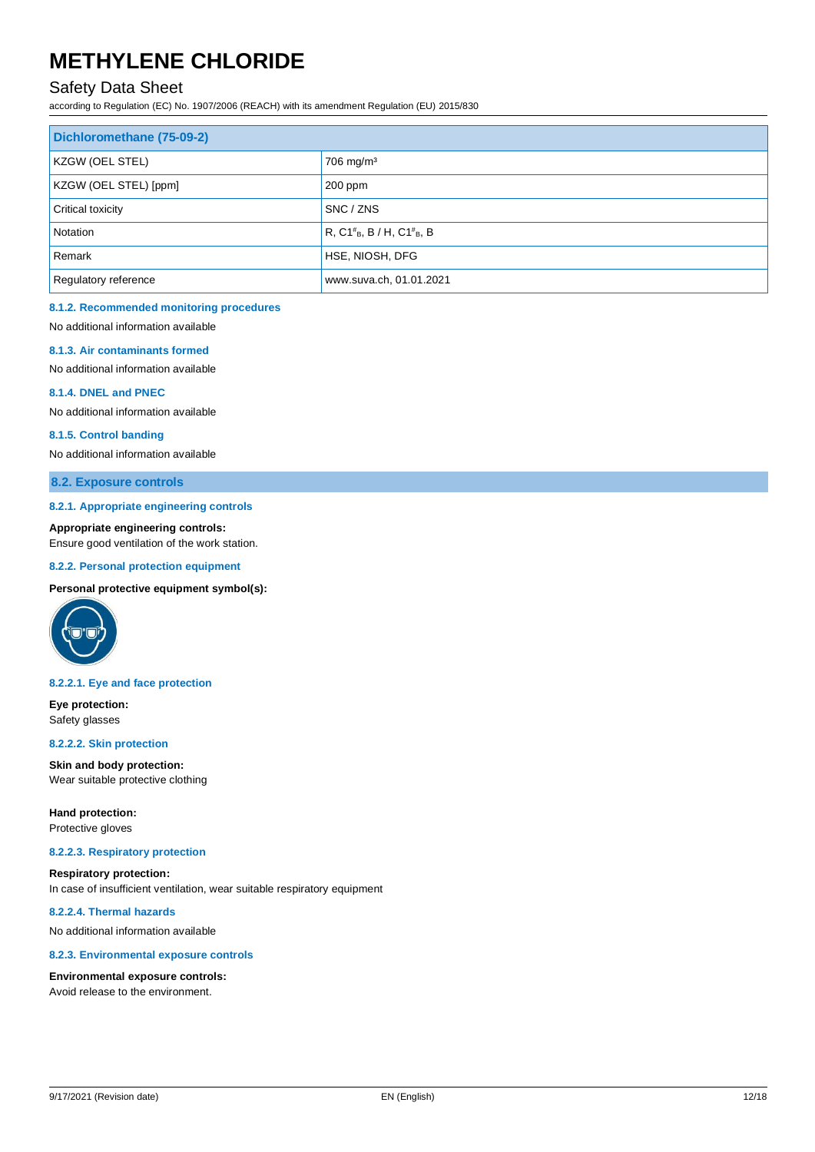### Safety Data Sheet

according to Regulation (EC) No. 1907/2006 (REACH) with its amendment Regulation (EU) 2015/830

| Dichloromethane (75-09-2)   |                                       |
|-----------------------------|---------------------------------------|
| <b>KZGW (OEL STEL)</b>      | $706$ mg/m <sup>3</sup>               |
| KZGW (OEL STEL) [ppm]       | $200$ ppm                             |
| Critical toxicity           | SNC / ZNS                             |
| Notation                    | $R, C1^{\#}_{B}, B/H, C1^{\#}_{B}, B$ |
| Remark                      | HSE, NIOSH, DFG                       |
| <b>Regulatory reference</b> | www.suva.ch, 01.01.2021               |

#### **8.1.2. Recommended monitoring procedures**

No additional information available

#### **8.1.3. Air contaminants formed**

No additional information available

#### **8.1.4. DNEL and PNEC**

No additional information available

#### **8.1.5. Control banding**

No additional information available

#### **8.2. Exposure controls**

#### **8.2.1. Appropriate engineering controls**

**Appropriate engineering controls:**

Ensure good ventilation of the work station.

#### **8.2.2. Personal protection equipment**

**Personal protective equipment symbol(s):**



#### **8.2.2.1. Eye and face protection**

**Eye protection:** Safety glasses

#### **8.2.2.2. Skin protection**

**Skin and body protection:** Wear suitable protective clothing

**Hand protection:**

Protective gloves

#### **8.2.2.3. Respiratory protection**

**Respiratory protection:** In case of insufficient ventilation, wear suitable respiratory equipment

#### **8.2.2.4. Thermal hazards**

No additional information available

#### **8.2.3. Environmental exposure controls**

#### **Environmental exposure controls:**

Avoid release to the environment.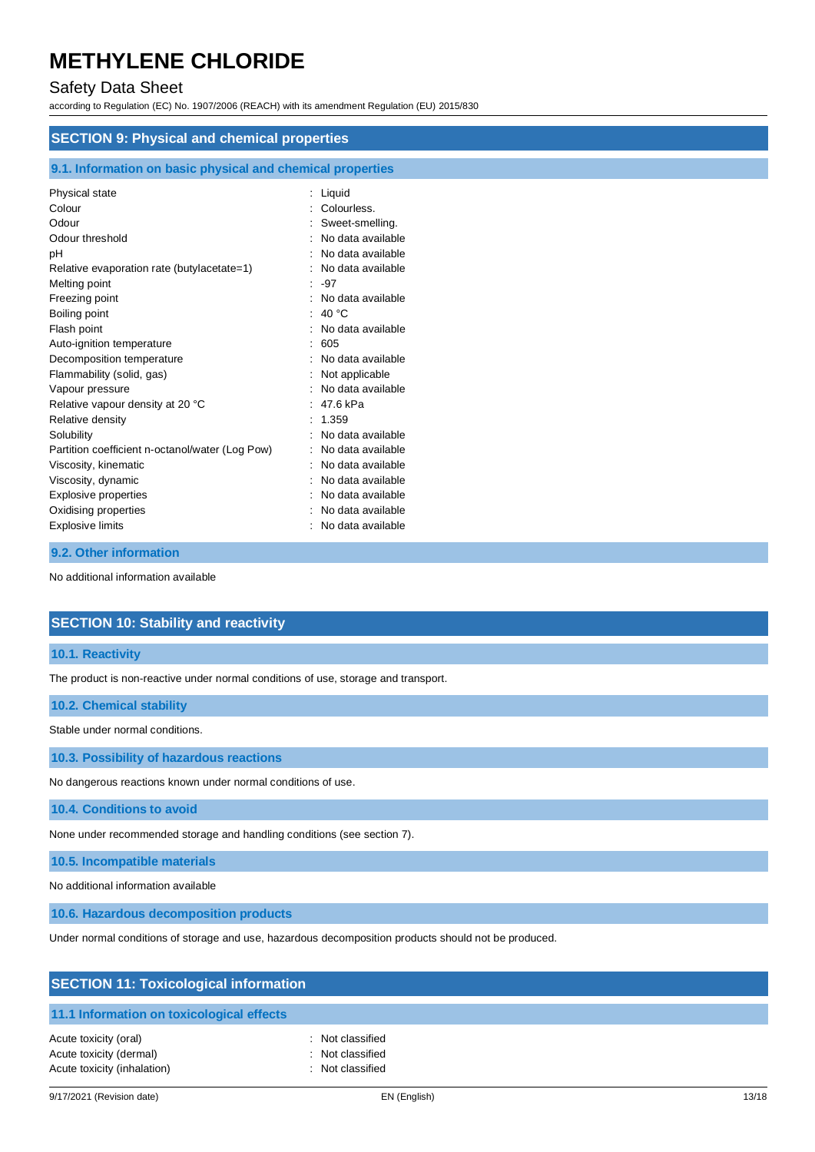### Safety Data Sheet

according to Regulation (EC) No. 1907/2006 (REACH) with its amendment Regulation (EU) 2015/830

| <b>SECTION 9: Physical and chemical properties</b>         |                   |  |
|------------------------------------------------------------|-------------------|--|
| 9.1. Information on basic physical and chemical properties |                   |  |
| Physical state                                             | $:$ Liquid        |  |
| Colour                                                     | Colourless.       |  |
| Odour                                                      | Sweet-smelling.   |  |
| Odour threshold                                            | No data available |  |
| рH                                                         | No data available |  |
| Relative evaporation rate (butylacetate=1)                 | No data available |  |
| Melting point                                              | -97               |  |
| Freezing point                                             | No data available |  |
| Boiling point                                              | : 40 $^{\circ}$ C |  |
| Flash point                                                | No data available |  |
| Auto-ignition temperature                                  | 605               |  |
| Decomposition temperature                                  | No data available |  |
| Flammability (solid, gas)                                  | Not applicable    |  |
| Vapour pressure                                            | No data available |  |
| Relative vapour density at 20 °C                           | 47.6 kPa          |  |
| Relative density                                           | : 1.359           |  |
| Solubility                                                 | No data available |  |
| Partition coefficient n-octanol/water (Log Pow)            | No data available |  |
| Viscosity, kinematic                                       | No data available |  |
| Viscosity, dynamic                                         | No data available |  |
| Explosive properties                                       | No data available |  |
| Oxidising properties                                       | No data available |  |
| <b>Explosive limits</b>                                    | No data available |  |

#### **9.2. Other information**

No additional information available

#### **SECTION 10: Stability and reactivity**

#### **10.1. Reactivity**

The product is non-reactive under normal conditions of use, storage and transport.

#### **10.2. Chemical stability**

Stable under normal conditions.

**10.3. Possibility of hazardous reactions**

No dangerous reactions known under normal conditions of use.

#### **10.4. Conditions to avoid**

None under recommended storage and handling conditions (see section 7).

**10.5. Incompatible materials**

No additional information available

**10.6. Hazardous decomposition products**

Under normal conditions of storage and use, hazardous decomposition products should not be produced.

| <b>SECTION 11: Toxicological information</b>     |                                      |  |
|--------------------------------------------------|--------------------------------------|--|
| 11.1 Information on toxicological effects        |                                      |  |
| Acute toxicity (oral)<br>Acute toxicity (dermal) | : Not classified<br>: Not classified |  |
| Acute toxicity (inhalation)                      | : Not classified                     |  |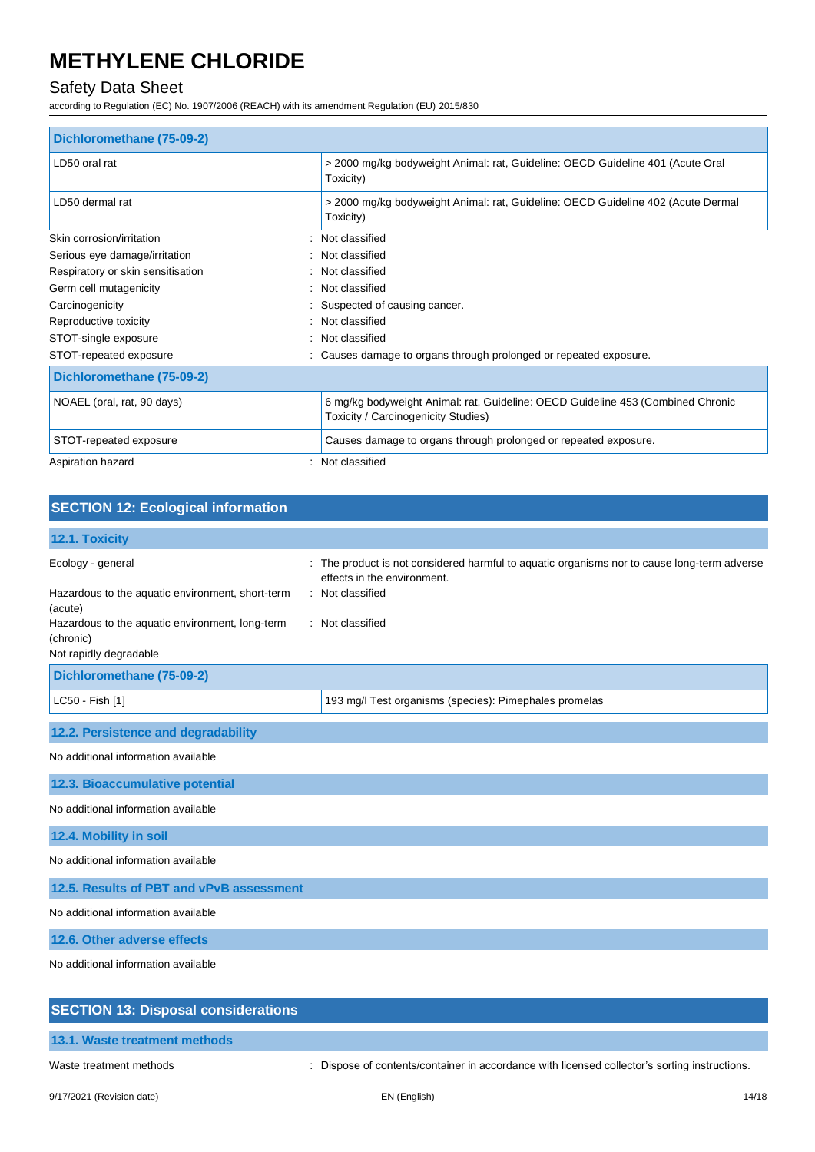### Safety Data Sheet

according to Regulation (EC) No. 1907/2006 (REACH) with its amendment Regulation (EU) 2015/830

| Dichloromethane (75-09-2)         |                                                                                                                        |
|-----------------------------------|------------------------------------------------------------------------------------------------------------------------|
| LD50 oral rat                     | > 2000 mg/kg bodyweight Animal: rat, Guideline: OECD Guideline 401 (Acute Oral<br>Toxicity)                            |
| LD50 dermal rat                   | > 2000 mg/kg bodyweight Animal: rat, Guideline: OECD Guideline 402 (Acute Dermal<br>Toxicity)                          |
| Skin corrosion/irritation         | Not classified                                                                                                         |
| Serious eye damage/irritation     | Not classified                                                                                                         |
| Respiratory or skin sensitisation | Not classified                                                                                                         |
| Germ cell mutagenicity            | Not classified                                                                                                         |
| Carcinogenicity                   | Suspected of causing cancer.                                                                                           |
| Reproductive toxicity             | Not classified                                                                                                         |
| STOT-single exposure              | Not classified                                                                                                         |
| STOT-repeated exposure            | Causes damage to organs through prolonged or repeated exposure.                                                        |
| Dichloromethane (75-09-2)         |                                                                                                                        |
| NOAEL (oral, rat, 90 days)        | 6 mg/kg bodyweight Animal: rat, Guideline: OECD Guideline 453 (Combined Chronic<br>Toxicity / Carcinogenicity Studies) |
| STOT-repeated exposure            | Causes damage to organs through prolonged or repeated exposure.                                                        |
| Aspiration hazard                 | Not classified                                                                                                         |

#### **SECTION 12: Ecological information 12.1. Toxicity** Ecology - general **interproduct is not considered harmful to aquatic organisms nor to cause long-term adverse** effects in the environment. Hazardous to the aquatic environment, short-term (acute) : Not classified Hazardous to the aquatic environment, long-term : Not classified

| Not rapidly degradable    |                                                        |
|---------------------------|--------------------------------------------------------|
| Dichloromethane (75-09-2) |                                                        |
| $ $ LC50 - Fish [1]       | 193 mg/l Test organisms (species): Pimephales promelas |
|                           |                                                        |

#### **12.2. Persistence and degradability**

No additional information available

**12.3. Bioaccumulative potential**

No additional information available

**12.4. Mobility in soil**

(chronic)

No additional information available

**12.5. Results of PBT and vPvB assessment**

No additional information available

**12.6. Other adverse effects**

No additional information available

## **SECTION 13: Disposal considerations 13.1. Waste treatment methods** Waste treatment methods : Dispose of contents/container in accordance with licensed collector's sorting instructions.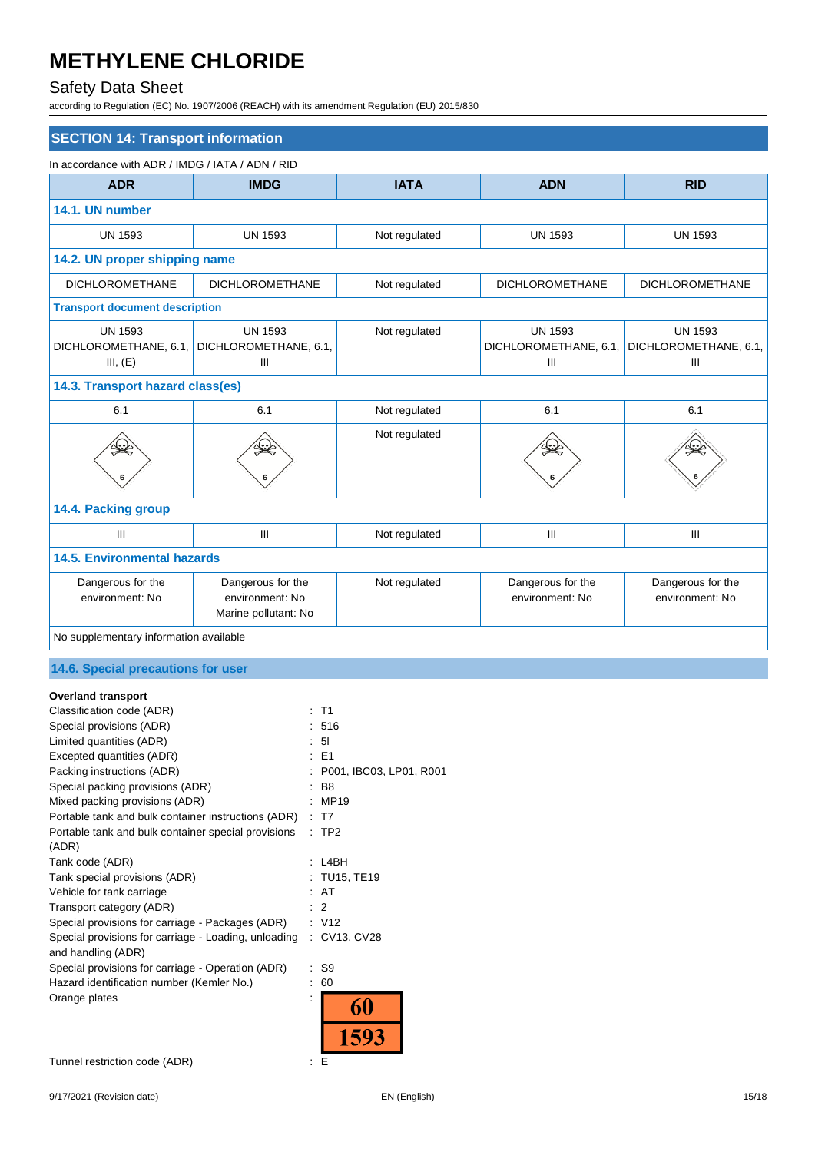### Safety Data Sheet

according to Regulation (EC) No. 1907/2006 (REACH) with its amendment Regulation (EU) 2015/830

| <b>SECTION 14: Transport information</b>                                                                                                                                                                                                                                                                                                                                                                                                                                                                                                                                                                                                                                                                                             |                                                                    |                                                         |                                              |                                              |
|--------------------------------------------------------------------------------------------------------------------------------------------------------------------------------------------------------------------------------------------------------------------------------------------------------------------------------------------------------------------------------------------------------------------------------------------------------------------------------------------------------------------------------------------------------------------------------------------------------------------------------------------------------------------------------------------------------------------------------------|--------------------------------------------------------------------|---------------------------------------------------------|----------------------------------------------|----------------------------------------------|
| In accordance with ADR / IMDG / IATA / ADN / RID                                                                                                                                                                                                                                                                                                                                                                                                                                                                                                                                                                                                                                                                                     |                                                                    |                                                         |                                              |                                              |
| <b>ADR</b>                                                                                                                                                                                                                                                                                                                                                                                                                                                                                                                                                                                                                                                                                                                           | <b>IMDG</b>                                                        | <b>IATA</b>                                             | <b>ADN</b>                                   | <b>RID</b>                                   |
| 14.1. UN number                                                                                                                                                                                                                                                                                                                                                                                                                                                                                                                                                                                                                                                                                                                      |                                                                    |                                                         |                                              |                                              |
| <b>UN 1593</b>                                                                                                                                                                                                                                                                                                                                                                                                                                                                                                                                                                                                                                                                                                                       | <b>UN 1593</b>                                                     | Not regulated                                           | <b>UN 1593</b>                               | <b>UN 1593</b>                               |
| 14.2. UN proper shipping name                                                                                                                                                                                                                                                                                                                                                                                                                                                                                                                                                                                                                                                                                                        |                                                                    |                                                         |                                              |                                              |
| <b>DICHLOROMETHANE</b>                                                                                                                                                                                                                                                                                                                                                                                                                                                                                                                                                                                                                                                                                                               | <b>DICHLOROMETHANE</b>                                             | Not regulated                                           | <b>DICHLOROMETHANE</b>                       | <b>DICHLOROMETHANE</b>                       |
| <b>Transport document description</b>                                                                                                                                                                                                                                                                                                                                                                                                                                                                                                                                                                                                                                                                                                |                                                                    |                                                         |                                              |                                              |
| <b>UN 1593</b><br>III, (E)                                                                                                                                                                                                                                                                                                                                                                                                                                                                                                                                                                                                                                                                                                           | <b>UN 1593</b><br>DICHLOROMETHANE, 6.1, DICHLOROMETHANE, 6.1,<br>Ш | Not regulated                                           | <b>UN 1593</b><br>DICHLOROMETHANE, 6.1,<br>Ш | <b>UN 1593</b><br>DICHLOROMETHANE, 6.1,<br>Ш |
| 14.3. Transport hazard class(es)                                                                                                                                                                                                                                                                                                                                                                                                                                                                                                                                                                                                                                                                                                     |                                                                    |                                                         |                                              |                                              |
| 6.1                                                                                                                                                                                                                                                                                                                                                                                                                                                                                                                                                                                                                                                                                                                                  | 6.1                                                                | Not regulated                                           | 6.1                                          | 6.1                                          |
|                                                                                                                                                                                                                                                                                                                                                                                                                                                                                                                                                                                                                                                                                                                                      |                                                                    | Not regulated                                           |                                              |                                              |
| 14.4. Packing group                                                                                                                                                                                                                                                                                                                                                                                                                                                                                                                                                                                                                                                                                                                  |                                                                    |                                                         |                                              |                                              |
| $\mathop{\rm III}\nolimits$                                                                                                                                                                                                                                                                                                                                                                                                                                                                                                                                                                                                                                                                                                          | Ш                                                                  | Not regulated                                           | III                                          | III                                          |
| <b>14.5. Environmental hazards</b>                                                                                                                                                                                                                                                                                                                                                                                                                                                                                                                                                                                                                                                                                                   |                                                                    |                                                         |                                              |                                              |
| Dangerous for the<br>environment: No                                                                                                                                                                                                                                                                                                                                                                                                                                                                                                                                                                                                                                                                                                 | Dangerous for the<br>environment: No<br>Marine pollutant: No       | Not regulated                                           | Dangerous for the<br>environment: No         | Dangerous for the<br>environment: No         |
| No supplementary information available                                                                                                                                                                                                                                                                                                                                                                                                                                                                                                                                                                                                                                                                                               |                                                                    |                                                         |                                              |                                              |
| 14.6. Special precautions for user                                                                                                                                                                                                                                                                                                                                                                                                                                                                                                                                                                                                                                                                                                   |                                                                    |                                                         |                                              |                                              |
| <b>Overland transport</b><br>Classification code (ADR)<br>: T1<br>Special provisions (ADR)<br>: 516<br>Limited quantities (ADR)<br>5I<br>Excepted quantities (ADR)<br>: E1<br>Packing instructions (ADR)<br>Special packing provisions (ADR)<br>B8<br>Mixed packing provisions (ADR)<br>: MP19<br>Portable tank and bulk container instructions (ADR)<br>: T7<br>Portable tank and bulk container special provisions<br>$:$ TP2<br>(ADR)<br>Tank code (ADR)<br>: L4BH<br>Tank special provisions (ADR)<br>: AT<br>Vehicle for tank carriage<br>Transport category (ADR)<br>$\therefore$ 2<br>Special provisions for carriage - Packages (ADR)<br>: V12<br>Special provisions for carriage - Loading, unloading<br>and handling (ADR) |                                                                    | P001, IBC03, LP01, R001<br>: TU15, TE19<br>: CV13, CV28 |                                              |                                              |
| Special provisions for carriage - Operation (ADR)<br>: S9<br>Hazard identification number (Kemler No.)<br>$\therefore 60$<br>Orange plates                                                                                                                                                                                                                                                                                                                                                                                                                                                                                                                                                                                           |                                                                    | 60                                                      |                                              |                                              |

Tunnel restriction code (ADR) : E

1593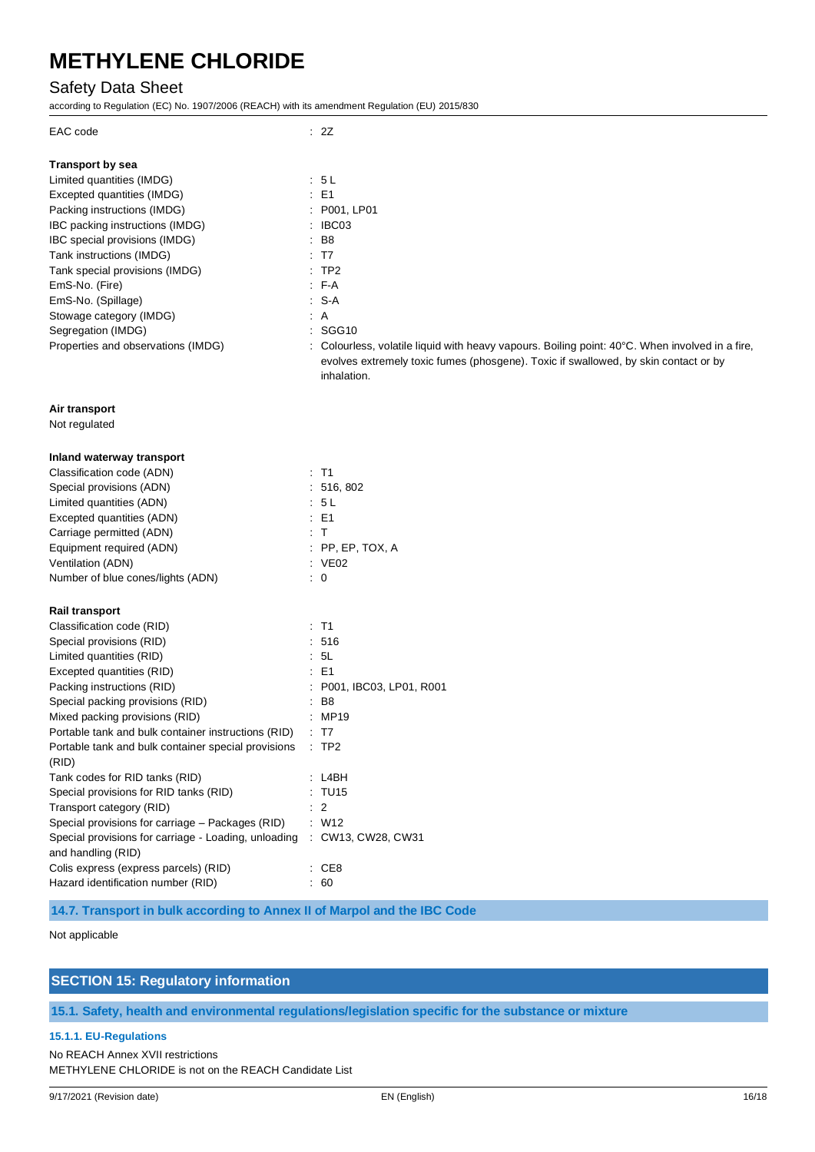### Safety Data Sheet

according to Regulation (EC) No. 1907/2006 (REACH) with its amendment Regulation (EU) 2015/830

| EAC code                                                                   | : 2Z                                                                                               |
|----------------------------------------------------------------------------|----------------------------------------------------------------------------------------------------|
| <b>Transport by sea</b>                                                    |                                                                                                    |
| Limited quantities (IMDG)                                                  | : 5 L                                                                                              |
| Excepted quantities (IMDG)                                                 | : E1                                                                                               |
| Packing instructions (IMDG)                                                | : P001, LP01                                                                                       |
| IBC packing instructions (IMDG)                                            | $\therefore$ IBC03                                                                                 |
| IBC special provisions (IMDG)                                              | $\therefore$ B8                                                                                    |
| Tank instructions (IMDG)                                                   | : T7                                                                                               |
| Tank special provisions (IMDG)                                             | $:$ TP2                                                                                            |
| EmS-No. (Fire)                                                             | $F-A$                                                                                              |
| EmS-No. (Spillage)                                                         | : S-A                                                                                              |
| Stowage category (IMDG)                                                    | $\therefore$ A                                                                                     |
| Segregation (IMDG)                                                         | : SGG10                                                                                            |
| Properties and observations (IMDG)                                         | : Colourless, volatile liquid with heavy vapours. Boiling point: 40°C. When involved in a fire,    |
|                                                                            | evolves extremely toxic fumes (phosgene). Toxic if swallowed, by skin contact or by<br>inhalation. |
| Air transport                                                              |                                                                                                    |
| Not regulated                                                              |                                                                                                    |
| Inland waterway transport                                                  |                                                                                                    |
| Classification code (ADN)                                                  | $:$ T1                                                                                             |
| Special provisions (ADN)                                                   | : 516, 802                                                                                         |
| Limited quantities (ADN)                                                   | : 5L                                                                                               |
| Excepted quantities (ADN)                                                  | $\therefore$ E1                                                                                    |
| Carriage permitted (ADN)                                                   | : T                                                                                                |
| Equipment required (ADN)                                                   | $:$ PP, EP, TOX, A                                                                                 |
| Ventilation (ADN)                                                          | : VE02                                                                                             |
| Number of blue cones/lights (ADN)                                          | $\colon 0$                                                                                         |
| <b>Rail transport</b>                                                      |                                                                                                    |
| Classification code (RID)                                                  | $:$ T1                                                                                             |
| Special provisions (RID)                                                   | :516                                                                                               |
| Limited quantities (RID)                                                   | : 5L                                                                                               |
| Excepted quantities (RID)                                                  | $\therefore$ E1                                                                                    |
| Packing instructions (RID)                                                 | : P001, IBC03, LP01, R001                                                                          |
| Special packing provisions (RID)                                           | : B8                                                                                               |
| Mixed packing provisions (RID)                                             | : MP19                                                                                             |
| Portable tank and bulk container instructions (RID) : T7                   |                                                                                                    |
| Portable tank and bulk container special provisions<br>(RID)               | $\therefore$ TP2                                                                                   |
| Tank codes for RID tanks (RID)                                             | : L4BH                                                                                             |
| Special provisions for RID tanks (RID)                                     | : TU15                                                                                             |
| Transport category (RID)                                                   | $\therefore$ 2                                                                                     |
| Special provisions for carriage - Packages (RID)                           | : W12                                                                                              |
| Special provisions for carriage - Loading, unloading<br>and handling (RID) | : CW13, CW28, CW31                                                                                 |
| Colis express (express parcels) (RID)                                      | : CE8                                                                                              |

**14.7. Transport in bulk according to Annex II of Marpol and the IBC Code**

Not applicable

### **SECTION 15: Regulatory information**

Hazard identification number (RID) : 60

**15.1. Safety, health and environmental regulations/legislation specific for the substance or mixture**

#### **15.1.1. EU-Regulations**

No REACH Annex XVII restrictions METHYLENE CHLORIDE is not on the REACH Candidate List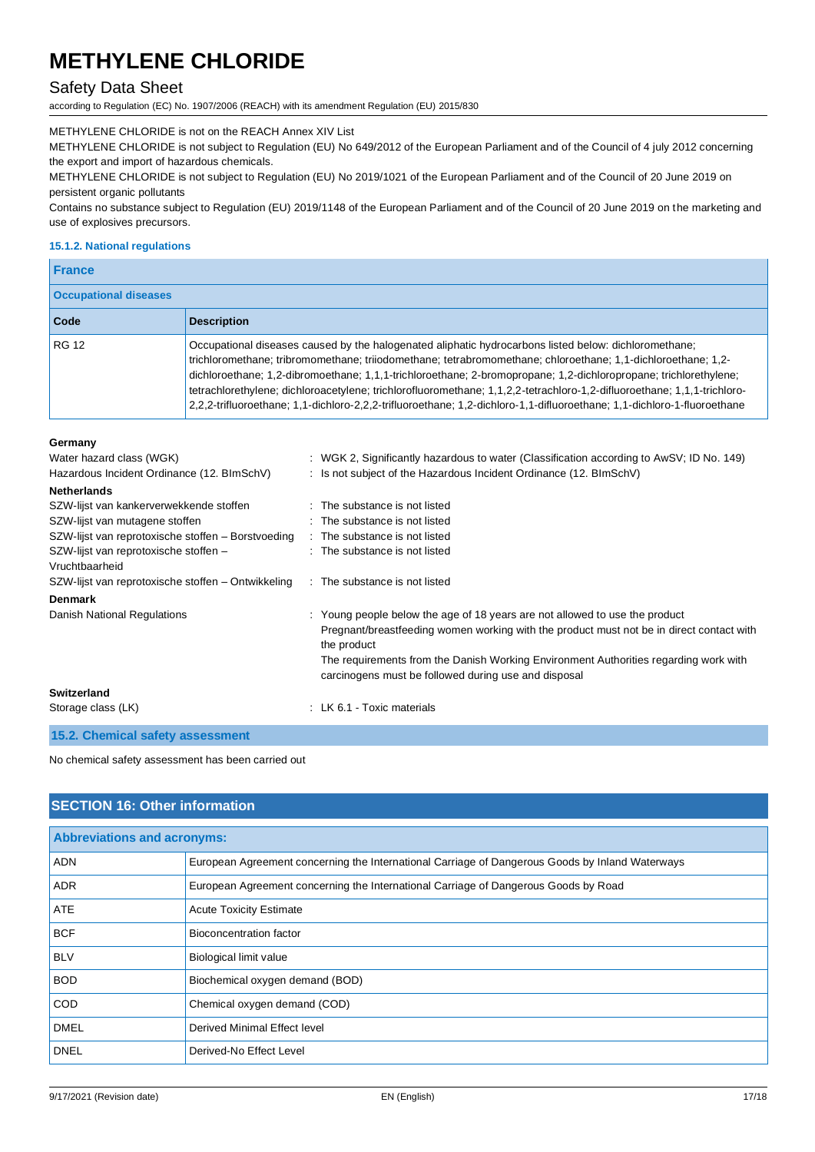### Safety Data Sheet

according to Regulation (EC) No. 1907/2006 (REACH) with its amendment Regulation (EU) 2015/830

METHYLENE CHLORIDE is not on the REACH Annex XIV List

METHYLENE CHLORIDE is not subject to Regulation (EU) No 649/2012 of the European Parliament and of the Council of 4 july 2012 concerning the export and import of hazardous chemicals.

METHYLENE CHLORIDE is not subject to Regulation (EU) No 2019/1021 of the European Parliament and of the Council of 20 June 2019 on persistent organic pollutants

Contains no substance subject to Regulation (EU) 2019/1148 of the European Parliament and of the Council of 20 June 2019 on the marketing and use of explosives precursors.

#### **15.1.2. National regulations**

**Germany**

| <b>France</b>                |                                                                                                                                                                                                                                                                                                                                                                                                                                                                                                                                                                                               |  |
|------------------------------|-----------------------------------------------------------------------------------------------------------------------------------------------------------------------------------------------------------------------------------------------------------------------------------------------------------------------------------------------------------------------------------------------------------------------------------------------------------------------------------------------------------------------------------------------------------------------------------------------|--|
| <b>Occupational diseases</b> |                                                                                                                                                                                                                                                                                                                                                                                                                                                                                                                                                                                               |  |
| Code                         | <b>Description</b>                                                                                                                                                                                                                                                                                                                                                                                                                                                                                                                                                                            |  |
| <b>RG 12</b>                 | Occupational diseases caused by the halogenated aliphatic hydrocarbons listed below: dichloromethane;<br>trichloromethane; tribromomethane; triiodomethane; tetrabromomethane; chloroethane; 1,1-dichloroethane; 1,2-<br>dichloroethane; 1,2-dibromoethane; 1,1,1-trichloroethane; 2-bromopropane; 1,2-dichloropropane; trichlorethylene;<br>tetrachlorethylene; dichloroacetylene; trichlorofluoromethane; 1,1,2,2-tetrachloro-1,2-difluoroethane; 1,1,1-trichloro-<br>2,2-trifluoroethane; 1,1-dichloro-2,2,2-trifluoroethane; 1,2-dichloro-1,1-difluoroethane; 1,1-dichloro-1-fluoroethane |  |

| Water hazard class (WGK)                                | : WGK 2, Significantly hazardous to water (Classification according to AwSV; ID No. 149)                                                                                                                                                                                                                                               |
|---------------------------------------------------------|----------------------------------------------------------------------------------------------------------------------------------------------------------------------------------------------------------------------------------------------------------------------------------------------------------------------------------------|
| Hazardous Incident Ordinance (12. BImSchV)              | : Is not subject of the Hazardous Incident Ordinance (12. BImSchV)                                                                                                                                                                                                                                                                     |
| <b>Netherlands</b>                                      |                                                                                                                                                                                                                                                                                                                                        |
| SZW-lijst van kankerverwekkende stoffen                 | : The substance is not listed                                                                                                                                                                                                                                                                                                          |
| SZW-lijst van mutagene stoffen                          | : The substance is not listed                                                                                                                                                                                                                                                                                                          |
| SZW-lijst van reprotoxische stoffen – Borstvoeding      | : The substance is not listed                                                                                                                                                                                                                                                                                                          |
| SZW-lijst van reprotoxische stoffen -<br>Vruchtbaarheid | : The substance is not listed                                                                                                                                                                                                                                                                                                          |
| SZW-lijst van reprotoxische stoffen – Ontwikkeling      | : The substance is not listed                                                                                                                                                                                                                                                                                                          |
| <b>Denmark</b>                                          |                                                                                                                                                                                                                                                                                                                                        |
| Danish National Regulations                             | : Young people below the age of 18 years are not allowed to use the product<br>Pregnant/breastfeeding women working with the product must not be in direct contact with<br>the product<br>The requirements from the Danish Working Environment Authorities regarding work with<br>carcinogens must be followed during use and disposal |
| Switzerland                                             |                                                                                                                                                                                                                                                                                                                                        |
| Storage class (LK)                                      | : LK 6.1 - Toxic materials                                                                                                                                                                                                                                                                                                             |

**15.2. Chemical safety assessment**

No chemical safety assessment has been carried out

### **SECTION 16: Other information**

| <b>Abbreviations and acronyms:</b> |                                                                                                 |
|------------------------------------|-------------------------------------------------------------------------------------------------|
| <b>ADN</b>                         | European Agreement concerning the International Carriage of Dangerous Goods by Inland Waterways |
| <b>ADR</b>                         | European Agreement concerning the International Carriage of Dangerous Goods by Road             |
| <b>ATE</b>                         | <b>Acute Toxicity Estimate</b>                                                                  |
| <b>BCF</b>                         | Bioconcentration factor                                                                         |
| <b>BLV</b>                         | <b>Biological limit value</b>                                                                   |
| <b>BOD</b>                         | Biochemical oxygen demand (BOD)                                                                 |
| <b>COD</b>                         | Chemical oxygen demand (COD)                                                                    |
| <b>DMEL</b>                        | Derived Minimal Effect level                                                                    |
| <b>DNEL</b>                        | Derived-No Effect Level                                                                         |